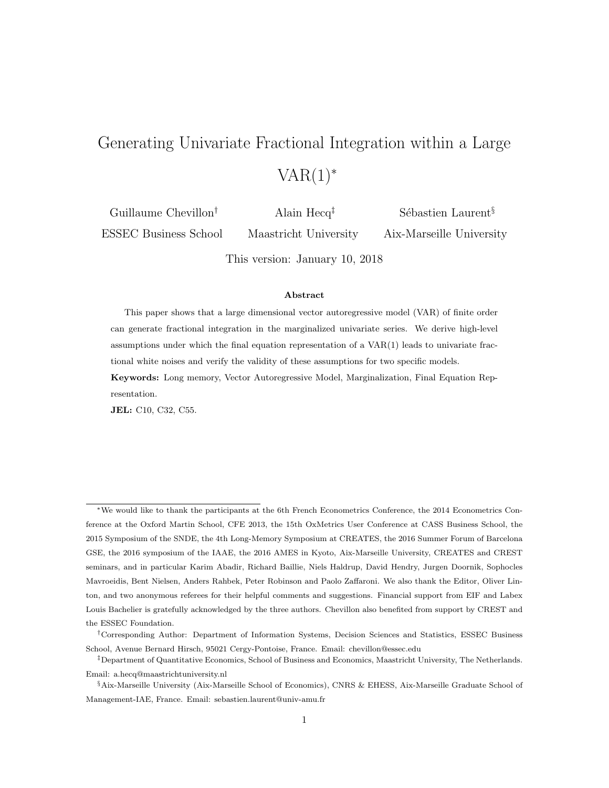# Generating Univariate Fractional Integration within a Large  $VAR(1)$ <sup>\*</sup>

Guillaume Chevillon† ESSEC Business School Alain Hecq‡ Maastricht University Sébastien Laurent<sup>§</sup> Aix-Marseille University

This version: January 10, 2018

#### Abstract

This paper shows that a large dimensional vector autoregressive model (VAR) of finite order can generate fractional integration in the marginalized univariate series. We derive high-level assumptions under which the final equation representation of a VAR(1) leads to univariate fractional white noises and verify the validity of these assumptions for two specific models. Keywords: Long memory, Vector Autoregressive Model, Marginalization, Final Equation Representation.

JEL: C10, C32, C55.

<sup>∗</sup>We would like to thank the participants at the 6th French Econometrics Conference, the 2014 Econometrics Conference at the Oxford Martin School, CFE 2013, the 15th OxMetrics User Conference at CASS Business School, the 2015 Symposium of the SNDE, the 4th Long-Memory Symposium at CREATES, the 2016 Summer Forum of Barcelona GSE, the 2016 symposium of the IAAE, the 2016 AMES in Kyoto, Aix-Marseille University, CREATES and CREST seminars, and in particular Karim Abadir, Richard Baillie, Niels Haldrup, David Hendry, Jurgen Doornik, Sophocles Mavroeidis, Bent Nielsen, Anders Rahbek, Peter Robinson and Paolo Zaffaroni. We also thank the Editor, Oliver Linton, and two anonymous referees for their helpful comments and suggestions. Financial support from EIF and Labex Louis Bachelier is gratefully acknowledged by the three authors. Chevillon also benefited from support by CREST and the ESSEC Foundation.

<sup>†</sup>Corresponding Author: Department of Information Systems, Decision Sciences and Statistics, ESSEC Business School, Avenue Bernard Hirsch, 95021 Cergy-Pontoise, France. Email: chevillon@essec.edu

<sup>‡</sup>Department of Quantitative Economics, School of Business and Economics, Maastricht University, The Netherlands. Email: a.hecq@maastrichtuniversity.nl

<sup>§</sup>Aix-Marseille University (Aix-Marseille School of Economics), CNRS & EHESS, Aix-Marseille Graduate School of Management-IAE, France. Email: sebastien.laurent@univ-amu.fr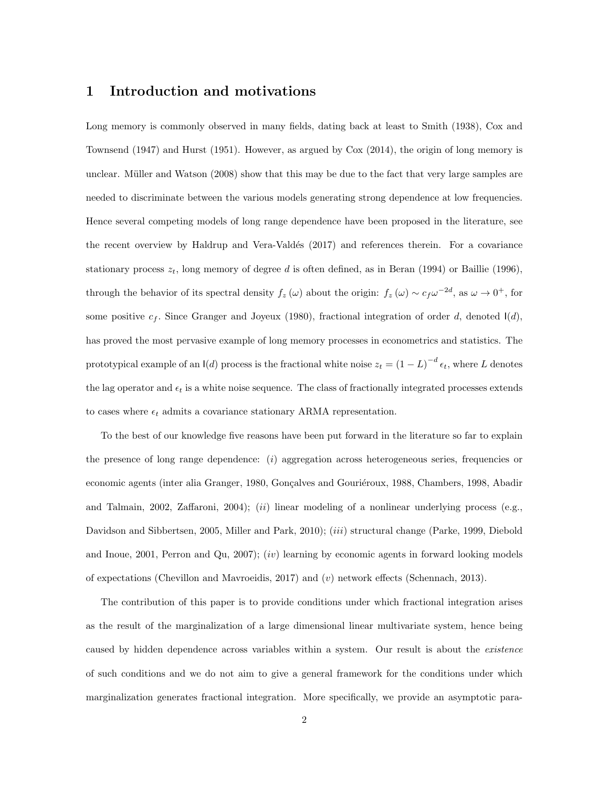## 1 Introduction and motivations

Long memory is commonly observed in many fields, dating back at least to Smith (1938), Cox and Townsend (1947) and Hurst (1951). However, as argued by Cox (2014), the origin of long memory is unclear. Müller and Watson (2008) show that this may be due to the fact that very large samples are needed to discriminate between the various models generating strong dependence at low frequencies. Hence several competing models of long range dependence have been proposed in the literature, see the recent overview by Haldrup and Vera-Valdés (2017) and references therein. For a covariance stationary process  $z_t$ , long memory of degree d is often defined, as in Beran (1994) or Baillie (1996), through the behavior of its spectral density  $f_z(\omega)$  about the origin:  $f_z(\omega) \sim c_f \omega^{-2d}$ , as  $\omega \to 0^+$ , for some positive  $c_f$ . Since Granger and Joyeux (1980), fractional integration of order d, denoted  $I(d)$ , has proved the most pervasive example of long memory processes in econometrics and statistics. The prototypical example of an  $\mathsf{I}(d)$  process is the fractional white noise  $z_t = (1 - L)^{-d} \epsilon_t$ , where L denotes the lag operator and  $\epsilon_t$  is a white noise sequence. The class of fractionally integrated processes extends to cases where  $\epsilon_t$  admits a covariance stationary ARMA representation.

To the best of our knowledge five reasons have been put forward in the literature so far to explain the presence of long range dependence: (i) aggregation across heterogeneous series, frequencies or economic agents (inter alia Granger, 1980, Gonçalves and Gouriéroux, 1988, Chambers, 1998, Abadir and Talmain, 2002, Zaffaroni, 2004); (ii) linear modeling of a nonlinear underlying process (e.g., Davidson and Sibbertsen, 2005, Miller and Park, 2010); *(iii)* structural change (Parke, 1999, Diebold and Inoue,  $2001$ , Perron and Qu,  $2007$ ;  $(iv)$  learning by economic agents in forward looking models of expectations (Chevillon and Mavroeidis, 2017) and  $(v)$  network effects (Schennach, 2013).

The contribution of this paper is to provide conditions under which fractional integration arises as the result of the marginalization of a large dimensional linear multivariate system, hence being caused by hidden dependence across variables within a system. Our result is about the *existence* of such conditions and we do not aim to give a general framework for the conditions under which marginalization generates fractional integration. More specifically, we provide an asymptotic para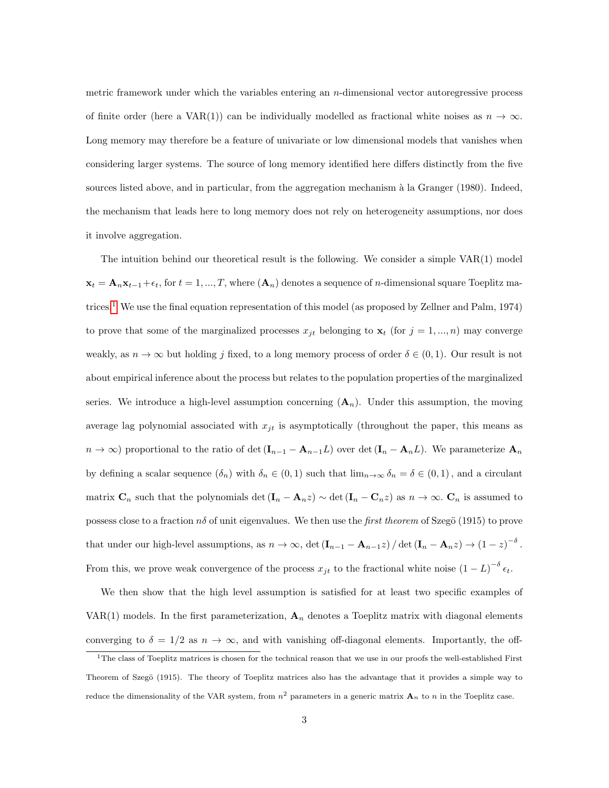metric framework under which the variables entering an n-dimensional vector autoregressive process of finite order (here a VAR(1)) can be individually modelled as fractional white noises as  $n \to \infty$ . Long memory may therefore be a feature of univariate or low dimensional models that vanishes when considering larger systems. The source of long memory identified here differs distinctly from the five sources listed above, and in particular, from the aggregation mechanism à la Granger (1980). Indeed, the mechanism that leads here to long memory does not rely on heterogeneity assumptions, nor does it involve aggregation.

The intuition behind our theoretical result is the following. We consider a simple VAR(1) model  $\mathbf{x}_t = \mathbf{A}_n \mathbf{x}_{t-1} + \epsilon_t$ , for  $t = 1, ..., T$ , where  $(\mathbf{A}_n)$  denotes a sequence of *n*-dimensional square Toeplitz matrices.[1](#page-2-0) We use the final equation representation of this model (as proposed by Zellner and Palm, 1974) to prove that some of the marginalized processes  $x_{it}$  belonging to  $\mathbf{x}_t$  (for  $j = 1, ..., n$ ) may converge weakly, as  $n \to \infty$  but holding j fixed, to a long memory process of order  $\delta \in (0,1)$ . Our result is not about empirical inference about the process but relates to the population properties of the marginalized series. We introduce a high-level assumption concerning  $(A_n)$ . Under this assumption, the moving average lag polynomial associated with  $x_{jt}$  is asymptotically (throughout the paper, this means as  $n \to \infty$ ) proportional to the ratio of det  $(I_{n-1} - A_{n-1}L)$  over det  $(I_n - A_nL)$ . We parameterize  $A_n$ by defining a scalar sequence  $(\delta_n)$  with  $\delta_n \in (0,1)$  such that  $\lim_{n\to\infty} \delta_n = \delta \in (0,1)$ , and a circulant matrix  $\mathbf{C}_n$  such that the polynomials det  $(\mathbf{I}_n - \mathbf{A}_n z) \sim \det(\mathbf{I}_n - \mathbf{C}_n z)$  as  $n \to \infty$ .  $\mathbf{C}_n$  is assumed to possess close to a fraction  $n\delta$  of unit eigenvalues. We then use the *first theorem* of Szegö (1915) to prove that under our high-level assumptions, as  $n \to \infty$ , det  $(\mathbf{I}_{n-1} - \mathbf{A}_{n-1}z) / \det(\mathbf{I}_n - \mathbf{A}_n z) \to (1 - z)^{-\delta}$ . From this, we prove weak convergence of the process  $x_{jt}$  to the fractional white noise  $(1 - L)^{-\delta} \epsilon_t$ .

We then show that the high level assumption is satisfied for at least two specific examples of VAR(1) models. In the first parameterization,  $A_n$  denotes a Toeplitz matrix with diagonal elements converging to  $\delta = 1/2$  as  $n \to \infty$ , and with vanishing off-diagonal elements. Importantly, the off-

<span id="page-2-0"></span><sup>&</sup>lt;sup>1</sup>The class of Toeplitz matrices is chosen for the technical reason that we use in our proofs the well-established First Theorem of Szegö (1915). The theory of Toeplitz matrices also has the advantage that it provides a simple way to reduce the dimensionality of the VAR system, from  $n^2$  parameters in a generic matrix  $\mathbf{A}_n$  to n in the Toeplitz case.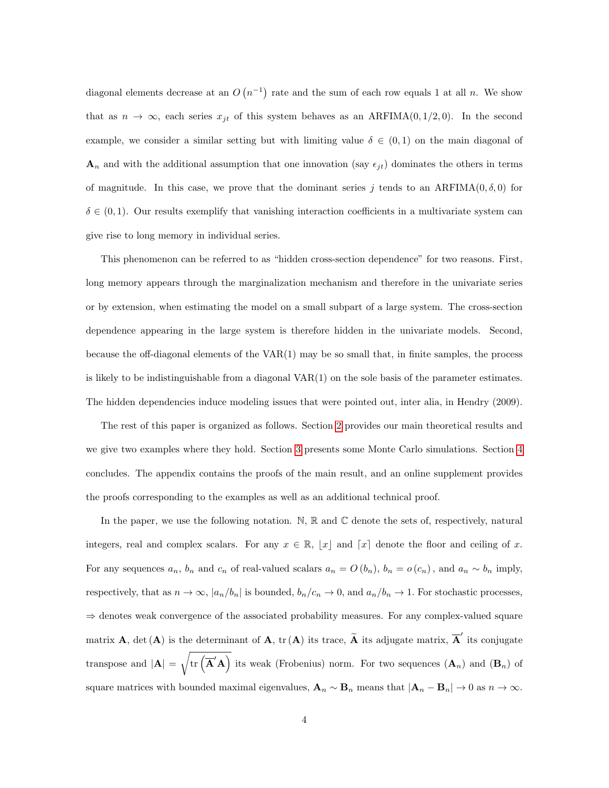diagonal elements decrease at an  $O(n^{-1})$  rate and the sum of each row equals 1 at all n. We show that as  $n \to \infty$ , each series  $x_{jt}$  of this system behaves as an ARFIMA(0, 1/2, 0). In the second example, we consider a similar setting but with limiting value  $\delta \in (0,1)$  on the main diagonal of  $\mathbf{A}_n$  and with the additional assumption that one innovation (say  $\epsilon_{it}$ ) dominates the others in terms of magnitude. In this case, we prove that the dominant series j tends to an ARFIMA $(0, \delta, 0)$  for  $\delta \in (0,1)$ . Our results exemplify that vanishing interaction coefficients in a multivariate system can give rise to long memory in individual series.

This phenomenon can be referred to as "hidden cross-section dependence" for two reasons. First, long memory appears through the marginalization mechanism and therefore in the univariate series or by extension, when estimating the model on a small subpart of a large system. The cross-section dependence appearing in the large system is therefore hidden in the univariate models. Second, because the off-diagonal elements of the VAR(1) may be so small that, in finite samples, the process is likely to be indistinguishable from a diagonal  $VAR(1)$  on the sole basis of the parameter estimates. The hidden dependencies induce modeling issues that were pointed out, inter alia, in Hendry (2009).

The rest of this paper is organized as follows. Section [2](#page-4-0) provides our main theoretical results and we give two examples where they hold. Section [3](#page-13-0) presents some Monte Carlo simulations. Section [4](#page-19-0) concludes. The appendix contains the proofs of the main result, and an online supplement provides the proofs corresponding to the examples as well as an additional technical proof.

In the paper, we use the following notation.  $\mathbb{N}, \mathbb{R}$  and  $\mathbb{C}$  denote the sets of, respectively, natural integers, real and complex scalars. For any  $x \in \mathbb{R}$ ,  $[x]$  and  $[x]$  denote the floor and ceiling of x. For any sequences  $a_n$ ,  $b_n$  and  $c_n$  of real-valued scalars  $a_n = O(b_n)$ ,  $b_n = o(c_n)$ , and  $a_n \sim b_n$  imply, respectively, that as  $n \to \infty$ ,  $|a_n/b_n|$  is bounded,  $b_n/c_n \to 0$ , and  $a_n/b_n \to 1$ . For stochastic processes, ⇒ denotes weak convergence of the associated probability measures. For any complex-valued square matrix **A**, det (**A**) is the determinant of **A**, tr (**A**) its trace,  $\tilde{A}$  its adjugate matrix,  $\overline{A}'$  its conjugate transpose and  $|\mathbf{A}| = \sqrt{\text{tr}(\overline{\mathbf{A}}'\mathbf{A})}$  its weak (Frobenius) norm. For two sequences  $(\mathbf{A}_n)$  and  $(\mathbf{B}_n)$  of square matrices with bounded maximal eigenvalues,  $\mathbf{A}_n \sim \mathbf{B}_n$  means that  $|\mathbf{A}_n - \mathbf{B}_n| \to 0$  as  $n \to \infty$ .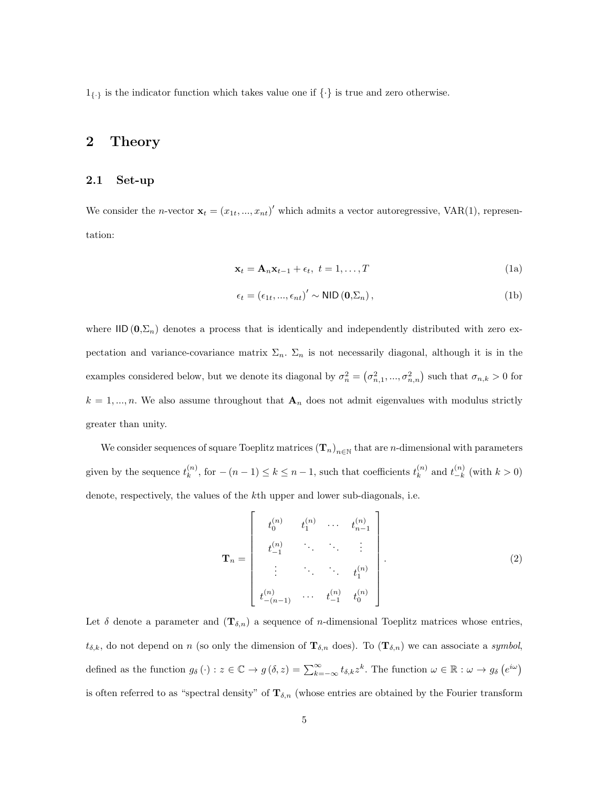$1_{\{\cdot\}}$  is the indicator function which takes value one if  $\{\cdot\}$  is true and zero otherwise.

## <span id="page-4-0"></span>2 Theory

### 2.1 Set-up

<span id="page-4-1"></span>We consider the *n*-vector  $\mathbf{x}_t = (x_{1t},...,x_{nt})'$  which admits a vector autoregressive, VAR(1), representation:

<span id="page-4-3"></span>
$$
\mathbf{x}_t = \mathbf{A}_n \mathbf{x}_{t-1} + \epsilon_t, \ t = 1, \dots, T
$$
 (1a)

<span id="page-4-4"></span>
$$
\epsilon_t = (\epsilon_{1t}, ..., \epsilon_{nt})' \sim \text{NID}(\mathbf{0}, \Sigma_n), \tag{1b}
$$

where  $\text{IID } (0,\Sigma_n)$  denotes a process that is identically and independently distributed with zero expectation and variance-covariance matrix  $\Sigma_n$ .  $\Sigma_n$  is not necessarily diagonal, although it is in the examples considered below, but we denote its diagonal by  $\sigma_n^2 = (\sigma_{n,1}^2, ..., \sigma_{n,n}^2)$  such that  $\sigma_{n,k} > 0$  for  $k = 1, ..., n$ . We also assume throughout that  $\mathbf{A}_n$  does not admit eigenvalues with modulus strictly greater than unity.

We consider sequences of square Toeplitz matrices  $(\mathbf{T}_n)_{n\in\mathbb{N}}$  that are *n*-dimensional with parameters given by the sequence  $t_k^{(n)}$  $\binom{n}{k}$ , for  $-(n-1) \leq k \leq n-1$ , such that coefficients  $t_k^{(n)}$ .  $\binom{n}{k}$  and  $t_{-k}^{(n)}$  $\binom{n}{-k}$  (with  $k > 0$ ) denote, respectively, the values of the kth upper and lower sub-diagonals, i.e.

<span id="page-4-2"></span>
$$
\mathbf{T}_n = \begin{bmatrix} t_0^{(n)} & t_1^{(n)} & \cdots & t_{n-1}^{(n)} \\ t_{-1}^{(n)} & \ddots & \ddots & \vdots \\ \vdots & \ddots & \ddots & t_1^{(n)} \\ t_{-(n-1)}^{(n)} & \cdots & t_{-1}^{(n)} & t_0^{(n)} \end{bmatrix} .
$$
 (2)

Let  $\delta$  denote a parameter and  $(\mathbf{T}_{\delta,n})$  a sequence of *n*-dimensional Toeplitz matrices whose entries,  $t_{\delta,k}$ , do not depend on n (so only the dimension of  $\mathbf{T}_{\delta,n}$  does). To  $(\mathbf{T}_{\delta,n})$  we can associate a symbol, defined as the function  $g_{\delta}(\cdot) : z \in \mathbb{C} \to g(\delta, z) = \sum_{k=-\infty}^{\infty} t_{\delta,k} z^{k}$ . The function  $\omega \in \mathbb{R} : \omega \to g_{\delta}(e^{i\omega})$ is often referred to as "spectral density" of  $\mathbf{T}_{\delta,n}$  (whose entries are obtained by the Fourier transform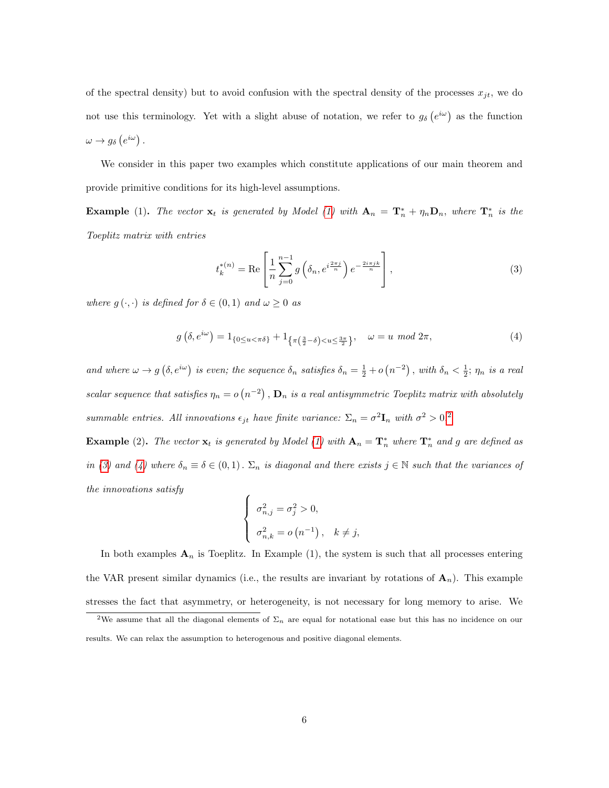of the spectral density) but to avoid confusion with the spectral density of the processes  $x_{jt}$ , we do not use this terminology. Yet with a slight abuse of notation, we refer to  $g_{\delta}(e^{i\omega})$  as the function  $\omega \rightarrow g_{\delta}\left(e^{i\omega}\right).$ 

We consider in this paper two examples which constitute applications of our main theorem and provide primitive conditions for its high-level assumptions.

**Example** [\(1\)](#page-4-1). The vector  $\mathbf{x}_t$  is generated by Model (1) with  $\mathbf{A}_n = \mathbf{T}_n^* + \eta_n \mathbf{D}_n$ , where  $\mathbf{T}_n^*$  is the Toeplitz matrix with entries

<span id="page-5-1"></span>
$$
t_k^{*(n)} = \text{Re}\left[\frac{1}{n}\sum_{j=0}^{n-1} g\left(\delta_n, e^{i\frac{2\pi j}{n}}\right) e^{-\frac{2i\pi jk}{n}}\right],\tag{3}
$$

where  $g(\cdot, \cdot)$  is defined for  $\delta \in (0, 1)$  and  $\omega \geq 0$  as

<span id="page-5-2"></span>
$$
g\left(\delta, e^{i\omega}\right) = 1_{\left\{0 \le u < \pi\delta\right\}} + 1_{\left\{\pi\left(\frac{3}{2} - \delta\right) < u \le \frac{3\pi}{2}\right\}}, \quad \omega = u \mod 2\pi,\tag{4}
$$

and where  $\omega \to g(\delta, e^{i\omega})$  is even; the sequence  $\delta_n$  satisfies  $\delta_n = \frac{1}{2} + o(n^{-2})$ , with  $\delta_n < \frac{1}{2}$ ;  $\eta_n$  is a real scalar sequence that satisfies  $\eta_n = o(n^{-2})$ ,  $\mathbf{D}_n$  is a real antisymmetric Toeplitz matrix with absolutely summable entries. All innovations  $\epsilon_{jt}$  have finite variance:  $\Sigma_n = \sigma^2 \mathbf{I}_n$  $\Sigma_n = \sigma^2 \mathbf{I}_n$  $\Sigma_n = \sigma^2 \mathbf{I}_n$  with  $\sigma^2 > 0$ .

**Example** (2). The vector  $\mathbf{x}_t$  is generated by Model [\(1\)](#page-4-1) with  $\mathbf{A}_n = \mathbf{T}_n^*$  where  $\mathbf{T}_n^*$  and g are defined as in [\(3\)](#page-5-1) and [\(4\)](#page-5-2) where  $\delta_n \equiv \delta \in (0,1)$ .  $\Sigma_n$  is diagonal and there exists  $j \in \mathbb{N}$  such that the variances of the innovations satisfy

$$
\begin{cases}\n\sigma_{n,j}^2 = \sigma_j^2 > 0, \\
\sigma_{n,k}^2 = o(n^{-1}), \quad k \neq j,\n\end{cases}
$$

In both examples  $A_n$  is Toeplitz. In Example (1), the system is such that all processes entering the VAR present similar dynamics (i.e., the results are invariant by rotations of  $\mathbf{A}_n$ ). This example stresses the fact that asymmetry, or heterogeneity, is not necessary for long memory to arise. We

<span id="page-5-0"></span><sup>&</sup>lt;sup>2</sup>We assume that all the diagonal elements of  $\Sigma_n$  are equal for notational ease but this has no incidence on our results. We can relax the assumption to heterogenous and positive diagonal elements.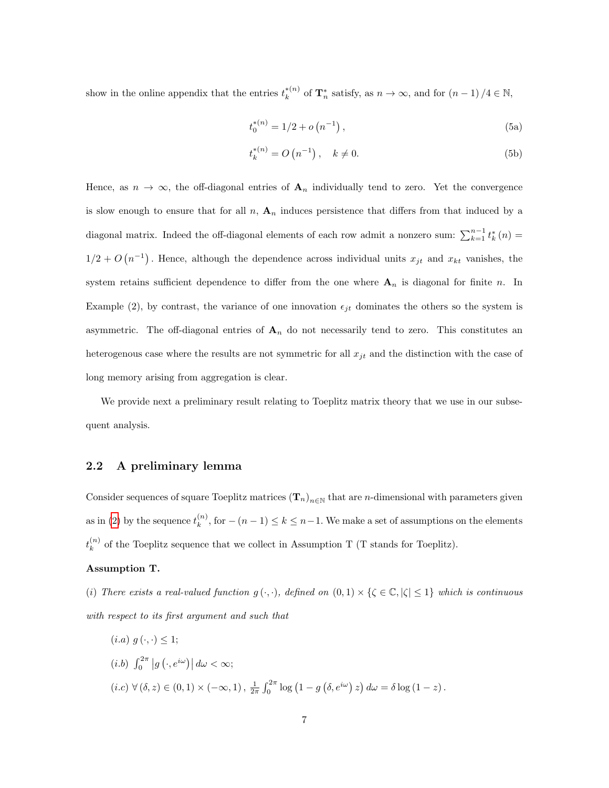show in the online appendix that the entries  $t_k^{*(n)}$  $\kappa_k^{*(n)}$  of  $\mathbf{T}_n^*$  satisfy, as  $n \to \infty$ , and for  $(n-1)/4 \in \mathbb{N}$ ,

$$
t_0^{*(n)} = 1/2 + o\left(n^{-1}\right),\tag{5a}
$$

$$
t_k^{*(n)} = O(n^{-1}), \quad k \neq 0.
$$
 (5b)

Hence, as  $n \to \infty$ , the off-diagonal entries of  $\mathbf{A}_n$  individually tend to zero. Yet the convergence is slow enough to ensure that for all n,  $A_n$  induces persistence that differs from that induced by a diagonal matrix. Indeed the off-diagonal elements of each row admit a nonzero sum:  $\sum_{k=1}^{n-1} t_k^*(n) =$  $1/2 + O(n^{-1})$ . Hence, although the dependence across individual units  $x_{jt}$  and  $x_{kt}$  vanishes, the system retains sufficient dependence to differ from the one where  $A_n$  is diagonal for finite n. In Example (2), by contrast, the variance of one innovation  $\epsilon_{jt}$  dominates the others so the system is asymmetric. The off-diagonal entries of  $A_n$  do not necessarily tend to zero. This constitutes an heterogenous case where the results are not symmetric for all  $x_{jt}$  and the distinction with the case of long memory arising from aggregation is clear.

We provide next a preliminary result relating to Toeplitz matrix theory that we use in our subsequent analysis.

### 2.2 A preliminary lemma

Consider sequences of square Toeplitz matrices  $(T_n)_{n\in\mathbb{N}}$  that are n-dimensional with parameters given as in [\(2\)](#page-4-2) by the sequence  $t_k^{(n)}$  $\binom{n}{k}$ , for  $-(n-1) \leq k \leq n-1$ . We make a set of assumptions on the elements  $t_k^{(n)}$  $\binom{n}{k}$  of the Toeplitz sequence that we collect in Assumption T (T stands for Toeplitz).

#### Assumption T.

(i) There exists a real-valued function  $g(\cdot,\cdot)$ , defined on  $(0,1) \times \{\zeta \in \mathbb{C}, |\zeta| \leq 1\}$  which is continuous with respect to its first argument and such that

 $(i.a) g(\cdot, \cdot) \leq 1;$  $(i.b)$   $\int_0^{2\pi} |g(\cdot, e^{i\omega})| d\omega < \infty;$  $(i.c) \ \forall (\delta, z) \in (0,1) \times (-\infty,1), \ \frac{1}{2\pi} \int_0^{2\pi} \log (1 - g(\delta, e^{i\omega}) z) d\omega = \delta \log (1 - z).$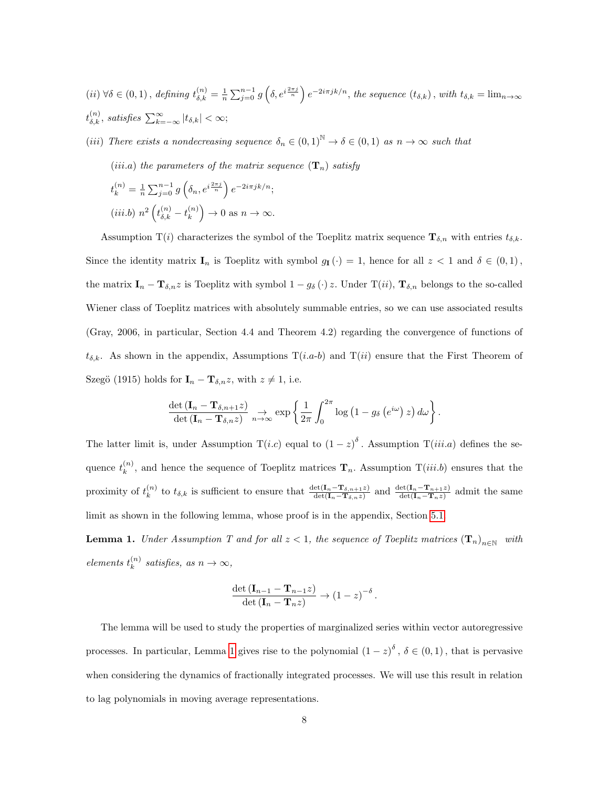$(iii) \ \forall \delta \in (0,1)$ , defining  $t_{\delta,k}^{(n)} = \frac{1}{n} \sum_{j=0}^{n-1} g\left(\delta, e^{i\frac{2\pi j}{n}}\right) e^{-2i\pi jk/n}$ , the sequence  $(t_{\delta,k})$ , with  $t_{\delta,k} = \lim_{n \to \infty}$  $t_{\delta,k}^{(n)}$ , satisfies  $\sum_{k=-\infty}^{\infty} |t_{\delta,k}| < \infty;$ 

(iii) There exists a nondecreasing sequence  $\delta_n \in (0,1)^{\mathbb{N}} \to \delta \in (0,1)$  as  $n \to \infty$  such that

(iii.a) the parameters of the matrix sequence  $(\mathbf{T}_n)$  satisfy

$$
t_k^{(n)} = \frac{1}{n} \sum_{j=0}^{n-1} g\left(\delta_n, e^{i\frac{2\pi j}{n}}\right) e^{-2i\pi jk/n};
$$
  
(iii.b)  $n^2 \left(t_{\delta,k}^{(n)} - t_k^{(n)}\right) \to 0$  as  $n \to \infty$ .

Assumption T(i) characterizes the symbol of the Toeplitz matrix sequence  $\mathbf{T}_{\delta,n}$  with entries  $t_{\delta,k}$ . Since the identity matrix  $I_n$  is Toeplitz with symbol  $g_I(\cdot) = 1$ , hence for all  $z < 1$  and  $\delta \in (0,1)$ , the matrix  $\mathbf{I}_n - \mathbf{T}_{\delta,n}z$  is Toeplitz with symbol  $1 - g_\delta(\cdot)z$ . Under  $\mathrm{T}(ii)$ ,  $\mathbf{T}_{\delta,n}$  belongs to the so-called Wiener class of Toeplitz matrices with absolutely summable entries, so we can use associated results (Gray, 2006, in particular, Section 4.4 and Theorem 4.2) regarding the convergence of functions of  $t_{\delta,k}$ . As shown in the appendix, Assumptions  $T(i.a-b)$  and  $T(ii)$  ensure that the First Theorem of Szegö (1915) holds for  $\mathbf{I}_n - \mathbf{T}_{\delta,n} z$ , with  $z \neq 1$ , i.e.

$$
\frac{\det\left(\mathbf{I}_n-\mathbf{T}_{\delta,n+1}z\right)}{\det\left(\mathbf{I}_n-\mathbf{T}_{\delta,n}z\right)}\underset{n\to\infty}{\to}\exp\left\{\frac{1}{2\pi}\int_0^{2\pi}\log\left(1-g_\delta\left(e^{i\omega}\right)z\right)d\omega\right\}.
$$

The latter limit is, under Assumption  $T(i.c)$  equal to  $(1-z)^{\delta}$ . Assumption  $T(iii.a)$  defines the sequence  $t_k^{(n)}$  $\binom{n}{k}$ , and hence the sequence of Toeplitz matrices  $\mathbf{T}_n$ . Assumption  $T(iii.b)$  ensures that the proximity of  $t_k^{(n)}$ <sup>(n)</sup> to  $t_{\delta,k}$  is sufficient to ensure that  $\frac{\det(\mathbf{I}_n-\mathbf{T}_{\delta,n+1}z)}{\det(\mathbf{I}_n-\mathbf{T}_{\delta,n}z)}$  and  $\frac{\det(\mathbf{I}_n-\mathbf{T}_{n+1}z)}{\det(\mathbf{I}_n-\mathbf{T}_nz)}$  admit the same limit as shown in the following lemma, whose proof is in the appendix, Section [5.1.](#page-20-0)

<span id="page-7-0"></span>**Lemma 1.** Under Assumption T and for all  $z < 1$ , the sequence of Toeplitz matrices  $(\mathbf{T}_n)_{n \in \mathbb{N}}$  with elements  $t_k^{(n)}$  $\kappa^{(n)}$  satisfies, as  $n \to \infty$ ,

$$
\frac{\det (\mathbf{I}_{n-1} - \mathbf{T}_{n-1}z)}{\det (\mathbf{I}_n - \mathbf{T}_n z)} \to (1-z)^{-\delta}.
$$

The lemma will be used to study the properties of marginalized series within vector autoregressive processes. In particular, Lemma [1](#page-7-0) gives rise to the polynomial  $(1-z)^{\delta}$ ,  $\delta \in (0,1)$ , that is pervasive when considering the dynamics of fractionally integrated processes. We will use this result in relation to lag polynomials in moving average representations.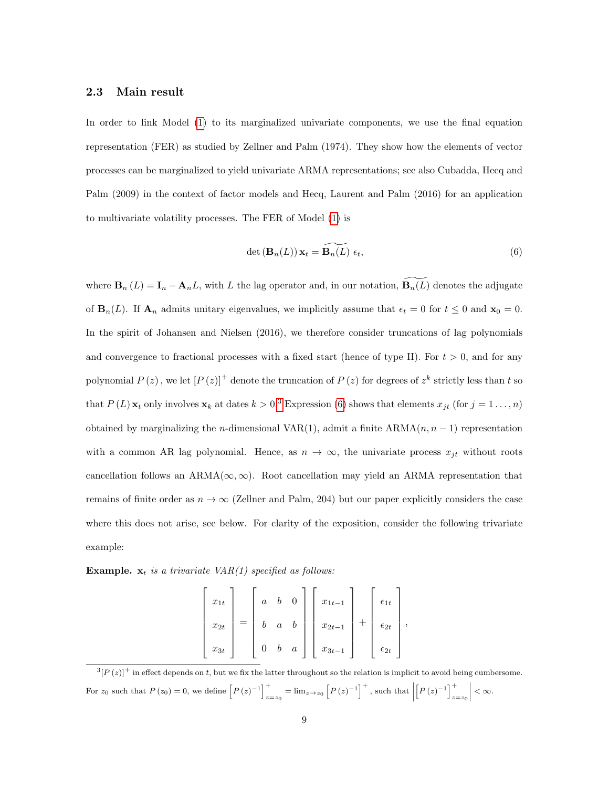#### 2.3 Main result

In order to link Model [\(1\)](#page-4-1) to its marginalized univariate components, we use the final equation representation (FER) as studied by Zellner and Palm (1974). They show how the elements of vector processes can be marginalized to yield univariate ARMA representations; see also Cubadda, Hecq and Palm (2009) in the context of factor models and Hecq, Laurent and Palm (2016) for an application to multivariate volatility processes. The FER of Model [\(1\)](#page-4-1) is

<span id="page-8-1"></span>
$$
\det\left(\mathbf{B}_n(L)\right)\mathbf{x}_t = \widetilde{\mathbf{B}_n(L)}\ \epsilon_t,\tag{6}
$$

where  $\mathbf{B}_n(L) = \mathbf{I}_n - \mathbf{A}_n L$ , with L the lag operator and, in our notation,  $\widetilde{\mathbf{B}_n(L)}$  denotes the adjugate of  $\mathbf{B}_{n}(L)$ . If  $\mathbf{A}_{n}$  admits unitary eigenvalues, we implicitly assume that  $\epsilon_{t} = 0$  for  $t \leq 0$  and  $\mathbf{x}_{0} = 0$ . In the spirit of Johansen and Nielsen (2016), we therefore consider truncations of lag polynomials and convergence to fractional processes with a fixed start (hence of type II). For  $t > 0$ , and for any polynomial  $P(z)$ , we let  $[P(z)]^+$  denote the truncation of  $P(z)$  for degrees of  $z^k$  strictly less than t so that  $P(L)$   $\mathbf{x}_t$  only involves  $\mathbf{x}_k$  at dates  $k > 0.3$  $k > 0.3$  Expression [\(6\)](#page-8-1) shows that elements  $x_{jt}$  (for  $j = 1 \ldots, n$ ) obtained by marginalizing the n-dimensional VAR(1), admit a finite  $ARMA(n, n - 1)$  representation with a common AR lag polynomial. Hence, as  $n \to \infty$ , the univariate process  $x_{jt}$  without roots cancellation follows an  $ARMA(\infty, \infty)$ . Root cancellation may yield an ARMA representation that remains of finite order as  $n \to \infty$  (Zellner and Palm, 204) but our paper explicitly considers the case where this does not arise, see below. For clarity of the exposition, consider the following trivariate example:

Example.  $x_t$  is a trivariate VAR(1) specified as follows:

$$
\begin{bmatrix} x_{1t} \\ x_{2t} \\ x_{3t} \end{bmatrix} = \begin{bmatrix} a & b & 0 \\ b & a & b \\ 0 & b & a \end{bmatrix} \begin{bmatrix} x_{1t-1} \\ x_{2t-1} \\ x_{3t-1} \end{bmatrix} + \begin{bmatrix} \epsilon_{1t} \\ \epsilon_{2t} \\ \epsilon_{2t} \end{bmatrix},
$$

<span id="page-8-0"></span> $\frac{3[p(z)]^+}{2}$  in effect depends on t, but we fix the latter throughout so the relation is implicit to avoid being cumbersome. For  $z_0$  such that  $P(z_0) = 0$ , we define  $\left[ P(z)^{-1} \right]^+$  $\int_{z=z_0}^{+} = \lim_{z \to z_0} \left[ P(z)^{-1} \right]^+$ , such that  $\left[ P(z)^{-1} \right]^{+}$  $z=z_0$  $\begin{array}{c} \hline \end{array}$  $< \infty$ .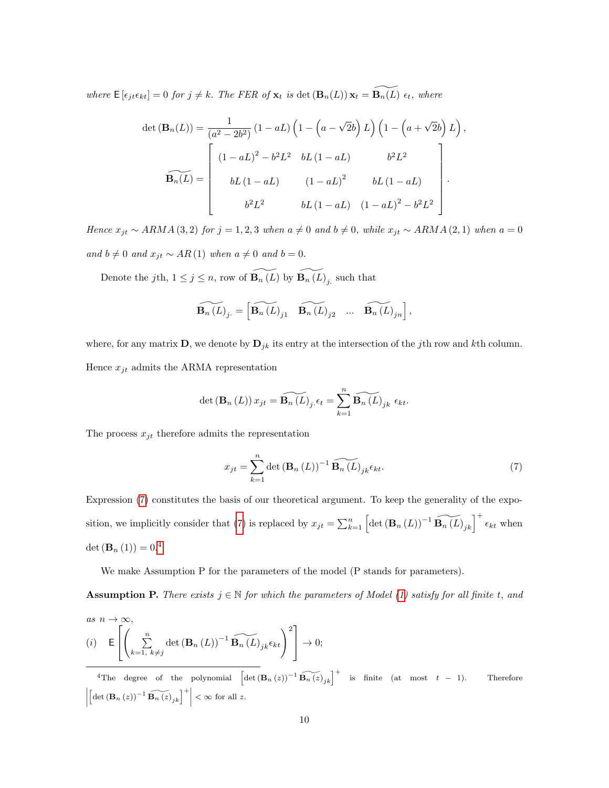where  $\mathsf{E}\left[\epsilon_{jt}\epsilon_{kt}\right] = 0$  for  $j \neq k$ . The FER of  $\mathbf{x}_t$  is det  $(\mathbf{B}_n(L))\mathbf{x}_t = \widetilde{\mathbf{B}_n(L)}\epsilon_t$ , where

$$
\det (\mathbf{B}_n(L)) = \frac{1}{(a^2 - 2b^2)} (1 - aL) \left( 1 - \left( a - \sqrt{2}b \right) L \right) \left( 1 - \left( a + \sqrt{2}b \right) L \right),
$$

$$
\widetilde{\mathbf{B}_n(L)} = \begin{bmatrix} (1 - aL)^2 - b^2 L^2 & bL (1 - aL) & b^2 L^2 \\ bL (1 - aL) & (1 - aL)^2 & bL (1 - aL) \\ b^2 L^2 & bL (1 - aL) & (1 - aL)^2 - b^2 L^2 \end{bmatrix}.
$$

Hence  $x_{jt} \sim ARMA(3, 2)$  for  $j = 1, 2, 3$  when  $a \neq 0$  and  $b \neq 0$ , while  $x_{jt} \sim ARMA(2, 1)$  when  $a = 0$ and  $b ≠ 0$  and  $x_{jt} ∼ AR(1)$  when  $a ≠ 0$  and  $b = 0$ .

Denote the jth,  $1 \leq j \leq n$ , row of  $\widetilde{\mathbf{B}_{n}(L)}$  by  $\widetilde{\mathbf{B}_{n}(L)}_j$  such that

$$
\widetilde{\mathbf{B}_{n}(L)}_{j} = \begin{bmatrix} \widetilde{\mathbf{B}_{n}(L)}_{j1} & \widetilde{\mathbf{B}_{n}(L)}_{j2} & \dots & \widetilde{\mathbf{B}_{n}(L)}_{jn} \end{bmatrix},
$$

where, for any matrix **D**, we denote by  $D_{jk}$  its entry at the intersection of the jth row and kth column. Hence  $x_{jt}$  admits the ARMA representation

$$
\det\left(\mathbf{B}_{n}\left(L\right)\right)x_{jt}=\widetilde{\mathbf{B}_{n}\left(L\right)}_{j\cdot}\epsilon_{t}=\sum_{k=1}^{n}\widetilde{\mathbf{B}_{n}\left(L\right)}_{jk}\epsilon_{kt}.
$$

The process  $x_{jt}$  therefore admits the representation

<span id="page-9-0"></span>
$$
x_{jt} = \sum_{k=1}^{n} \det\left(\mathbf{B}_n\left(L\right)\right)^{-1} \widetilde{\mathbf{B}_n\left(L\right)}_{jk}\epsilon_{kt}.\tag{7}
$$

Expression [\(7\)](#page-9-0) constitutes the basis of our theoretical argument. To keep the generality of the expo-sition, we implicitly consider that [\(7\)](#page-9-0) is replaced by  $x_{jt} = \sum_{k=1}^{n} \left[ \det (\mathbf{B}_n (L))^{-1} \widetilde{\mathbf{B}_n (L)}_{jk} \right]^+ \epsilon_{kt}$  when det  $(\mathbf{B}_n(1)) = 0.4$  $(\mathbf{B}_n(1)) = 0.4$ 

We make Assumption P for the parameters of the model (P stands for parameters).

**Assumption P.** There exists  $j \in \mathbb{N}$  for which the parameters of Model [\(1\)](#page-4-1) satisfy for all finite t, and

as 
$$
n \to \infty
$$
,  
\n(i)  $\mathbf{E}\left[\left(\sum_{k=1, k\neq j}^{n} \det\left(\mathbf{B}_n(L)\right)^{-1} \widetilde{\mathbf{B}_n(L)}_{jk}\epsilon_{kt}\right)^2\right] \to 0;$ 

<span id="page-9-1"></span><sup>4</sup>The degree of the polynomial  $\left[\det(\mathbf{B}_n(z))^{-1}\widetilde{\mathbf{B}_n(z)}_{jk}\right]^+$  is finite (at most  $t - 1$ ). Therefore  $\begin{array}{c} \begin{array}{c} \begin{array}{c} \end{array} \\ \begin{array}{c} \end{array} \end{array} \end{array}$  $\left[\det\left(\mathbf{B}_{n}\left(z\right)\right)^{-1}\widetilde{\mathbf{B}_{n}\left(z\right)}_{jk}\right]^{+}$  $< \infty$  for all z.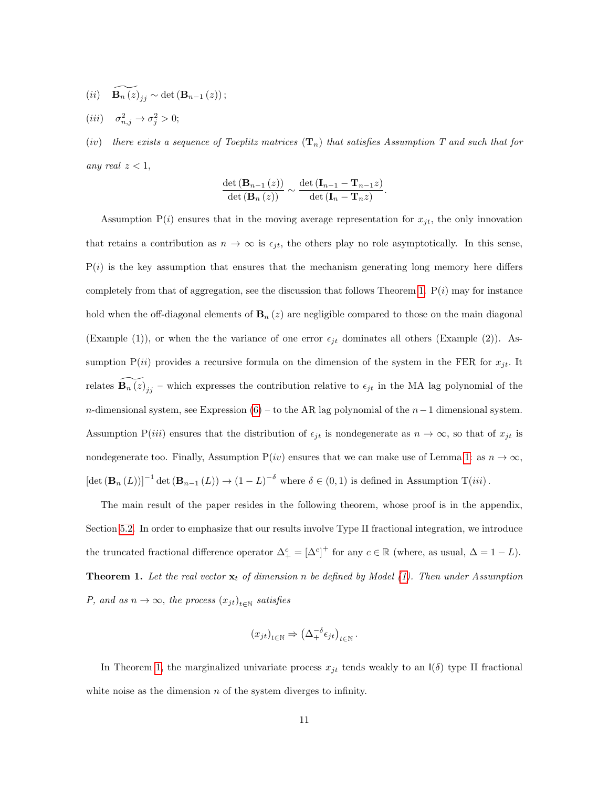$$
(ii) \quad \widetilde{\mathbf{B}_{n}(z)}_{jj} \sim \det\left(\mathbf{B}_{n-1}(z)\right);
$$

$$
(iii) \quad \sigma_{n,j}^2 \to \sigma_j^2 > 0;
$$

(iv) there exists a sequence of Toeplitz matrices  $(T_n)$  that satisfies Assumption T and such that for any real  $z < 1$ ,

$$
\frac{\det\left(\mathbf{B}_{n-1}\left(z\right)\right)}{\det\left(\mathbf{B}_{n}\left(z\right)\right)} \sim \frac{\det\left(\mathbf{I}_{n-1}-\mathbf{T}_{n-1}z\right)}{\det\left(\mathbf{I}_{n}-\mathbf{T}_{n}z\right)}.
$$

Assumption  $P(i)$  ensures that in the moving average representation for  $x_{jt}$ , the only innovation that retains a contribution as  $n \to \infty$  is  $\epsilon_{jt}$ , the others play no role asymptotically. In this sense,  $P(i)$  is the key assumption that ensures that the mechanism generating long memory here differs completely from that of aggregation, see the discussion that follows Theorem [1.](#page-10-0)  $P(i)$  may for instance hold when the off-diagonal elements of  $\mathbf{B}_n(z)$  are negligible compared to those on the main diagonal (Example (1)), or when the the variance of one error  $\epsilon_{jt}$  dominates all others (Example (2)). Assumption  $P(ii)$  provides a recursive formula on the dimension of the system in the FER for  $x_{jt}$ . It relates  $\widetilde{\mathbf{B}_{n}(z)}_{jj}$  – which expresses the contribution relative to  $\epsilon_{jt}$  in the MA lag polynomial of the n-dimensional system, see Expression [\(6\)](#page-8-1) – to the AR lag polynomial of the  $n-1$  dimensional system. Assumption P(iii) ensures that the distribution of  $\epsilon_{jt}$  is nondegenerate as  $n \to \infty$ , so that of  $x_{jt}$  is nondegenerate too. Finally, Assumption  $P(iv)$  ensures that we can make use of Lemma [1:](#page-7-0) as  $n \to \infty$ ,  $[\det(\mathbf{B}_n(L))]^{-1} \det(\mathbf{B}_{n-1}(L)) \to (1-L)^{-\delta}$  where  $\delta \in (0,1)$  is defined in Assumption  $T(iii)$ .

<span id="page-10-0"></span>The main result of the paper resides in the following theorem, whose proof is in the appendix, Section [5.2.](#page-24-0) In order to emphasize that our results involve Type II fractional integration, we introduce the truncated fractional difference operator  $\Delta_+^c = [\Delta^c]^+$  for any  $c \in \mathbb{R}$  (where, as usual,  $\Delta = 1 - L$ ). **Theorem 1.** Let the real vector  $\mathbf{x}_t$  of dimension n be defined by Model [\(1\)](#page-4-1). Then under Assumption P, and as  $n \to \infty$ , the process  $(x_{jt})_{t \in \mathbb{N}}$  satisfies

$$
(x_{jt})_{t \in \mathbb{N}} \Rightarrow \left(\Delta^{-\delta}_+ \epsilon_{jt}\right)_{t \in \mathbb{N}}.
$$

In Theorem [1,](#page-10-0) the marginalized univariate process  $x_{jt}$  tends weakly to an  $I(\delta)$  type II fractional white noise as the dimension  $n$  of the system diverges to infinity.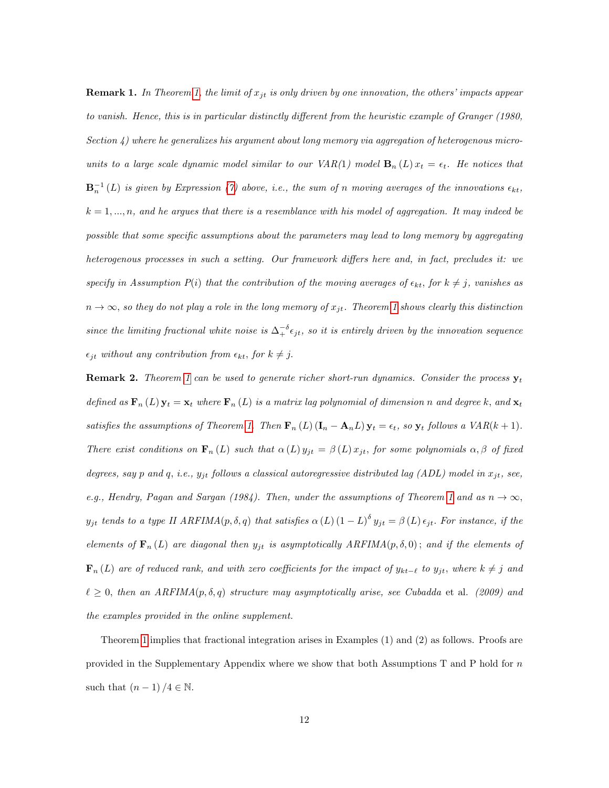**Remark 1.** In Theorem [1,](#page-10-0) the limit of  $x_{it}$  is only driven by one innovation, the others' impacts appear to vanish. Hence, this is in particular distinctly different from the heuristic example of Granger (1980, Section 4) where he generalizes his argument about long memory via aggregation of heterogenous microunits to a large scale dynamic model similar to our  $VAR(1)$  model  $\mathbf{B}_n(L)x_t = \epsilon_t$ . He notices that  **is given by Expression [\(7\)](#page-9-0) above, i.e., the sum of n moving averages of the innovations**  $\epsilon_{kt}$ **,**  $k = 1, ..., n$ , and he argues that there is a resemblance with his model of aggregation. It may indeed be possible that some specific assumptions about the parameters may lead to long memory by aggregating heterogenous processes in such a setting. Our framework differs here and, in fact, precludes it: we specify in Assumption  $P(i)$  that the contribution of the moving averages of  $\epsilon_{kt}$ , for  $k \neq j$ , vanishes as  $n \to \infty$ , so they do not play a role in the long memory of  $x_{it}$ . Theorem [1](#page-10-0) shows clearly this distinction since the limiting fractional white noise is  $\Delta_+^{-\delta} \epsilon_{jt}$ , so it is entirely driven by the innovation sequence  $\epsilon_{jt}$  without any contribution from  $\epsilon_{kt}$ , for  $k \neq j$ .

**Remark 2.** Theorem [1](#page-10-0) can be used to generate richer short-run dynamics. Consider the process  $y_t$ defined as  $\mathbf{F}_n(L)$   $\mathbf{y}_t = \mathbf{x}_t$  where  $\mathbf{F}_n(L)$  is a matrix lag polynomial of dimension n and degree k, and  $\mathbf{x}_t$ satisfies the assumptions of Theorem [1.](#page-10-0) Then  $\mathbf{F}_n(L) (\mathbf{I}_n - \mathbf{A}_n L) \mathbf{y}_t = \epsilon_t$ , so  $\mathbf{y}_t$  follows a  $VAR(k+1)$ . There exist conditions on  $\mathbf{F}_n(L)$  such that  $\alpha(L) y_{jt} = \beta(L) x_{jt}$ , for some polynomials  $\alpha, \beta$  of fixed degrees, say p and q, i.e.,  $y_{jt}$  follows a classical autoregressive distributed lag (ADL) model in  $x_{jt}$ , see, e.g., Hendry, Pagan and Sargan (1984). Then, under the assumptions of Theorem [1](#page-10-0) and as  $n \to \infty$ ,  $y_{jt}$  tends to a type II ARFIMA(p,  $\delta$ , q) that satisfies  $\alpha(L)$  (1 – L)<sup> $\delta$ </sup>  $y_{jt} = \beta(L) \epsilon_{jt}$ . For instance, if the elements of  $\mathbf{F}_n(L)$  are diagonal then  $y_{jt}$  is asymptotically  $ARFIMA(p,\delta,0)$ ; and if the elements of  $\mathbf{F}_n(L)$  are of reduced rank, and with zero coefficients for the impact of  $y_{kt-\ell}$  to  $y_{jt}$ , where  $k \neq j$  and  $\ell \geq 0$ , then an ARFIMA $(p, \delta, q)$  structure may asymptotically arise, see Cubadda et al. (2009) and the examples provided in the online supplement.

Theorem [1](#page-10-0) implies that fractional integration arises in Examples (1) and (2) as follows. Proofs are provided in the Supplementary Appendix where we show that both Assumptions T and P hold for n such that  $(n-1)/4 \in \mathbb{N}$ .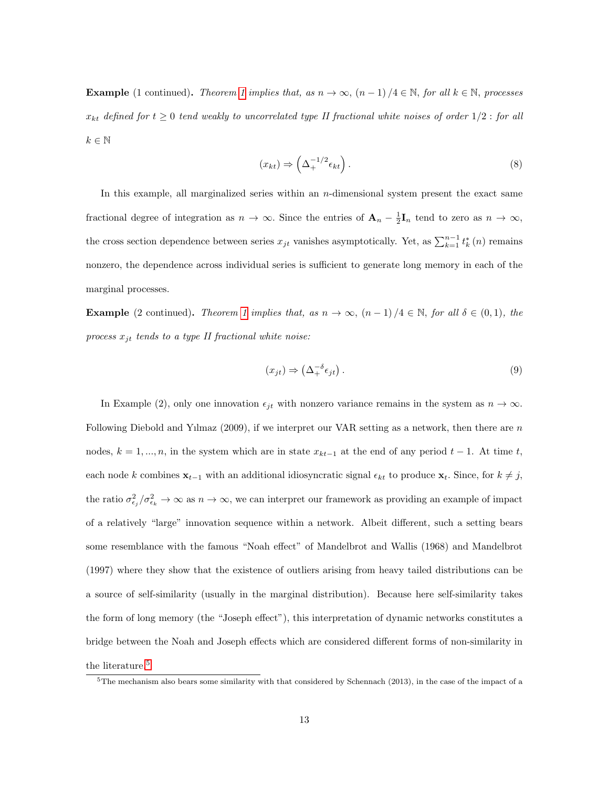**Example** (1 continued). Theorem [1](#page-10-0) implies that, as  $n \to \infty$ ,  $(n-1)/4 \in \mathbb{N}$ , for all  $k \in \mathbb{N}$ , processes  $x_{kt}$  defined for  $t \geq 0$  tend weakly to uncorrelated type II fractional white noises of order  $1/2$  : for all  $k\in\mathbb{N}$ 

$$
(x_{kt}) \Rightarrow \left(\Delta_+^{-1/2} \epsilon_{kt}\right). \tag{8}
$$

In this example, all marginalized series within an  $n$ -dimensional system present the exact same fractional degree of integration as  $n \to \infty$ . Since the entries of  $\mathbf{A}_n - \frac{1}{2} \mathbf{I}_n$  tend to zero as  $n \to \infty$ , the cross section dependence between series  $x_{jt}$  vanishes asymptotically. Yet, as  $\sum_{k=1}^{n-1} t_k^*(n)$  remains nonzero, the dependence across individual series is sufficient to generate long memory in each of the marginal processes.

**Example** (2 continued). Theorem [1](#page-10-0) implies that, as  $n \to \infty$ ,  $(n-1)/4 \in \mathbb{N}$ , for all  $\delta \in (0,1)$ , the process  $x_{jt}$  tends to a type II fractional white noise:

$$
(x_{jt}) \Rightarrow \left(\Delta_+^{-\delta} \epsilon_{jt}\right). \tag{9}
$$

In Example (2), only one innovation  $\epsilon_{jt}$  with nonzero variance remains in the system as  $n \to \infty$ . Following Diebold and Yılmaz (2009), if we interpret our VAR setting as a network, then there are n nodes,  $k = 1, ..., n$ , in the system which are in state  $x_{kt-1}$  at the end of any period  $t-1$ . At time t, each node k combines  $\mathbf{x}_{t-1}$  with an additional idiosyncratic signal  $\epsilon_{kt}$  to produce  $\mathbf{x}_t$ . Since, for  $k \neq j$ , the ratio  $\sigma_{\epsilon_j}^2/\sigma_{\epsilon_k}^2 \to \infty$  as  $n \to \infty$ , we can interpret our framework as providing an example of impact of a relatively "large" innovation sequence within a network. Albeit different, such a setting bears some resemblance with the famous "Noah effect" of Mandelbrot and Wallis (1968) and Mandelbrot (1997) where they show that the existence of outliers arising from heavy tailed distributions can be a source of self-similarity (usually in the marginal distribution). Because here self-similarity takes the form of long memory (the "Joseph effect"), this interpretation of dynamic networks constitutes a bridge between the Noah and Joseph effects which are considered different forms of non-similarity in the literature.<sup>[5](#page-12-0)</sup>

<span id="page-12-0"></span> $5$ The mechanism also bears some similarity with that considered by Schennach (2013), in the case of the impact of a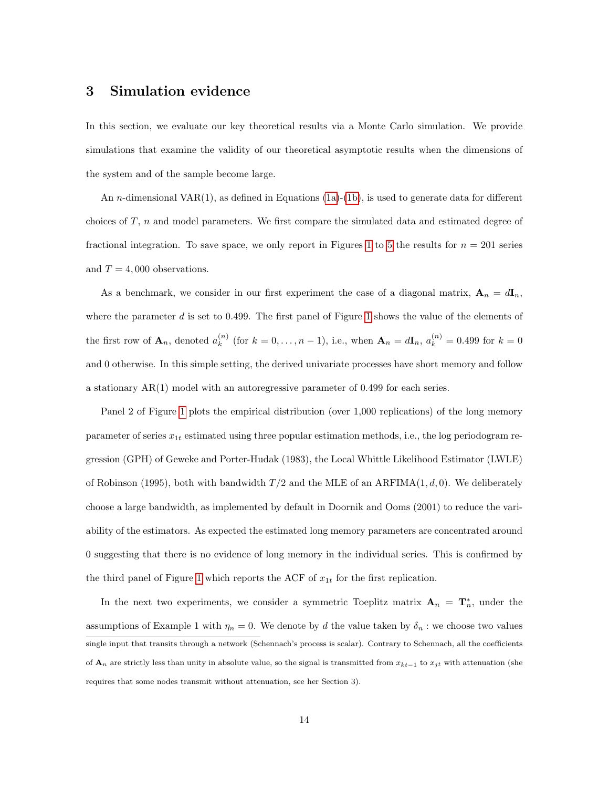## <span id="page-13-0"></span>3 Simulation evidence

In this section, we evaluate our key theoretical results via a Monte Carlo simulation. We provide simulations that examine the validity of our theoretical asymptotic results when the dimensions of the system and of the sample become large.

An n-dimensional VAR(1), as defined in Equations [\(1a\)](#page-4-3)-[\(1b\)](#page-4-4), is used to generate data for different choices of T, n and model parameters. We first compare the simulated data and estimated degree of fractional integration. To save space, we only report in Figures [1](#page-16-0) to [5](#page-18-0) the results for  $n = 201$  series and  $T = 4,000$  observations.

As a benchmark, we consider in our first experiment the case of a diagonal matrix,  $\mathbf{A}_n = d\mathbf{I}_n$ , where the parameter  $d$  is set to 0.499. The first panel of Figure [1](#page-16-0) shows the value of the elements of the first row of  $\mathbf{A}_n$ , denoted  $a_k^{(n)}$  $k_{k}^{(n)}$  (for  $k = 0, ..., n - 1$ ), i.e., when  $\mathbf{A}_{n} = d\mathbf{I}_{n}$ ,  $a_{k}^{(n)} = 0.499$  for  $k = 0$ and 0 otherwise. In this simple setting, the derived univariate processes have short memory and follow a stationary AR(1) model with an autoregressive parameter of 0.499 for each series.

Panel 2 of Figure [1](#page-16-0) plots the empirical distribution (over 1,000 replications) of the long memory parameter of series  $x_{1t}$  estimated using three popular estimation methods, i.e., the log periodogram regression (GPH) of Geweke and Porter-Hudak (1983), the Local Whittle Likelihood Estimator (LWLE) of Robinson (1995), both with bandwidth  $T/2$  and the MLE of an ARFIMA $(1, d, 0)$ . We deliberately choose a large bandwidth, as implemented by default in Doornik and Ooms (2001) to reduce the variability of the estimators. As expected the estimated long memory parameters are concentrated around 0 suggesting that there is no evidence of long memory in the individual series. This is confirmed by the third panel of Figure [1](#page-16-0) which reports the ACF of  $x_{1t}$  for the first replication.

In the next two experiments, we consider a symmetric Toeplitz matrix  $\mathbf{A}_n = \mathbf{T}_n^*$ , under the assumptions of Example 1 with  $\eta_n = 0$ . We denote by d the value taken by  $\delta_n$ : we choose two values single input that transits through a network (Schennach's process is scalar). Contrary to Schennach, all the coefficients of  $\mathbf{A}_n$  are strictly less than unity in absolute value, so the signal is transmitted from  $x_{kt-1}$  to  $x_{jt}$  with attenuation (she requires that some nodes transmit without attenuation, see her Section 3).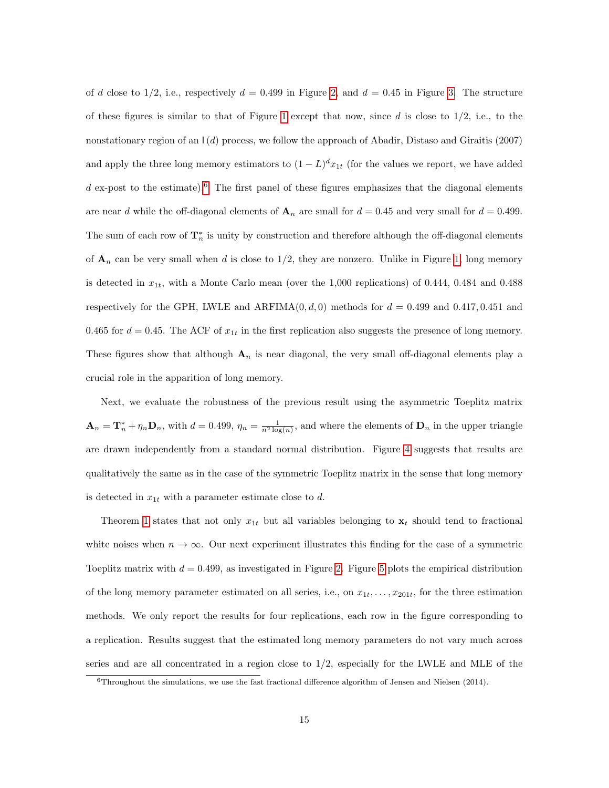of d close to 1/2, i.e., respectively  $d = 0.499$  in Figure [2,](#page-16-1) and  $d = 0.45$  in Figure [3.](#page-17-0) The structure of these figures is similar to that of Figure [1](#page-16-0) except that now, since d is close to  $1/2$ , i.e., to the nonstationary region of an  $\vert$  (d) process, we follow the approach of Abadir, Distaso and Giraitis (2007) and apply the three long memory estimators to  $(1-L)^{d}x_{1t}$  (for the values we report, we have added  $d$  ex-post to the estimate).<sup>[6](#page-14-0)</sup> The first panel of these figures emphasizes that the diagonal elements are near d while the off-diagonal elements of  $\mathbf{A}_n$  are small for  $d = 0.45$  and very small for  $d = 0.499$ . The sum of each row of  $\mathbf{T}_n^*$  is unity by construction and therefore although the off-diagonal elements of  $\mathbf{A}_n$  can be very small when d is close to  $1/2$ , they are nonzero. Unlike in Figure [1,](#page-16-0) long memory is detected in  $x_{1t}$ , with a Monte Carlo mean (over the 1,000 replications) of 0.444, 0.484 and 0.488 respectively for the GPH, LWLE and ARFIMA $(0, d, 0)$  methods for  $d = 0.499$  and 0.417, 0.451 and 0.465 for  $d = 0.45$ . The ACF of  $x_{1t}$  in the first replication also suggests the presence of long memory. These figures show that although  $A_n$  is near diagonal, the very small off-diagonal elements play a crucial role in the apparition of long memory.

Next, we evaluate the robustness of the previous result using the asymmetric Toeplitz matrix  $\mathbf{A}_n = \mathbf{T}_n^* + \eta_n \mathbf{D}_n$ , with  $d = 0.499$ ,  $\eta_n = \frac{1}{n^2 \log(n)}$ , and where the elements of  $\mathbf{D}_n$  in the upper triangle are drawn independently from a standard normal distribution. Figure [4](#page-17-1) suggests that results are qualitatively the same as in the case of the symmetric Toeplitz matrix in the sense that long memory is detected in  $x_{1t}$  with a parameter estimate close to d.

Theorem [1](#page-10-0) states that not only  $x_{1t}$  but all variables belonging to  $x_t$  should tend to fractional white noises when  $n \to \infty$ . Our next experiment illustrates this finding for the case of a symmetric Toeplitz matrix with  $d = 0.499$ , as investigated in Figure [2.](#page-16-1) Figure [5](#page-18-0) plots the empirical distribution of the long memory parameter estimated on all series, i.e., on  $x_{1t}, \ldots, x_{201t}$ , for the three estimation methods. We only report the results for four replications, each row in the figure corresponding to a replication. Results suggest that the estimated long memory parameters do not vary much across series and are all concentrated in a region close to  $1/2$ , especially for the LWLE and MLE of the

<span id="page-14-0"></span> $6$ Throughout the simulations, we use the fast fractional difference algorithm of Jensen and Nielsen (2014).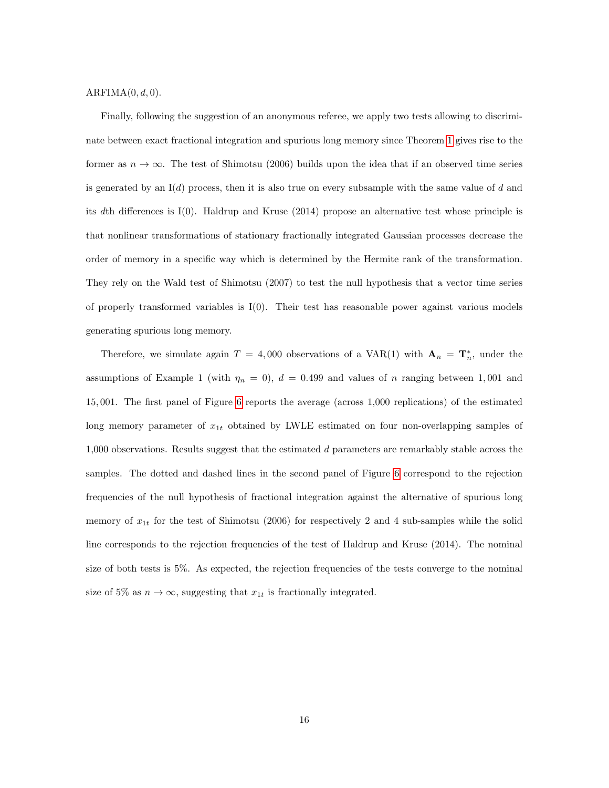#### $ARFIMA(0, d, 0)$ .

Finally, following the suggestion of an anonymous referee, we apply two tests allowing to discriminate between exact fractional integration and spurious long memory since Theorem [1](#page-10-0) gives rise to the former as  $n \to \infty$ . The test of Shimotsu (2006) builds upon the idea that if an observed time series is generated by an  $I(d)$  process, then it is also true on every subsample with the same value of d and its dth differences is I(0). Haldrup and Kruse (2014) propose an alternative test whose principle is that nonlinear transformations of stationary fractionally integrated Gaussian processes decrease the order of memory in a specific way which is determined by the Hermite rank of the transformation. They rely on the Wald test of Shimotsu (2007) to test the null hypothesis that a vector time series of properly transformed variables is  $I(0)$ . Their test has reasonable power against various models generating spurious long memory.

Therefore, we simulate again  $T = 4,000$  observations of a VAR(1) with  $\mathbf{A}_n = \mathbf{T}_n^*$ , under the assumptions of Example 1 (with  $\eta_n = 0$ ),  $d = 0.499$  and values of n ranging between 1,001 and 15, 001. The first panel of Figure [6](#page-18-1) reports the average (across 1,000 replications) of the estimated long memory parameter of  $x_{1t}$  obtained by LWLE estimated on four non-overlapping samples of 1,000 observations. Results suggest that the estimated d parameters are remarkably stable across the samples. The dotted and dashed lines in the second panel of Figure [6](#page-18-1) correspond to the rejection frequencies of the null hypothesis of fractional integration against the alternative of spurious long memory of  $x_{1t}$  for the test of Shimotsu (2006) for respectively 2 and 4 sub-samples while the solid line corresponds to the rejection frequencies of the test of Haldrup and Kruse (2014). The nominal size of both tests is 5%. As expected, the rejection frequencies of the tests converge to the nominal size of 5% as  $n \to \infty$ , suggesting that  $x_{1t}$  is fractionally integrated.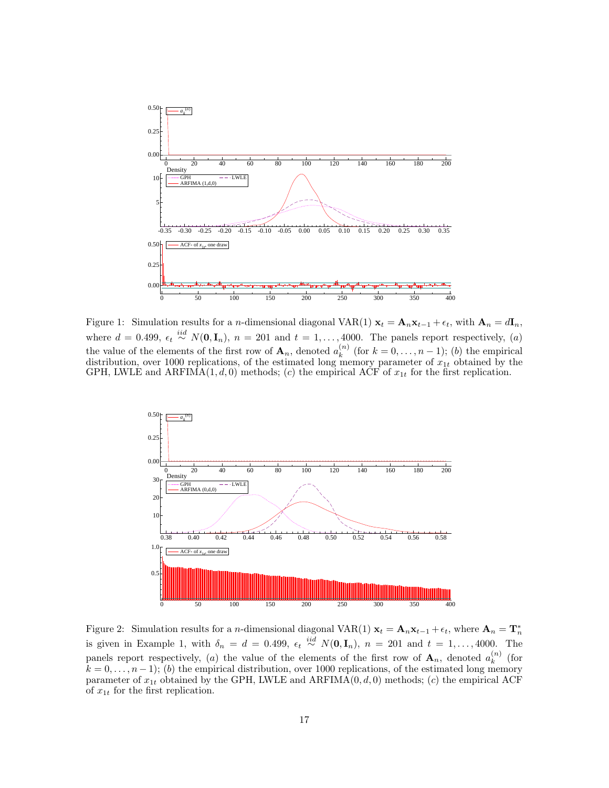

<span id="page-16-0"></span>Figure 1: Simulation results for a n-dimensional diagonal VAR(1)  $x_t = A_n x_{t-1} + \epsilon_t$ , with  $A_n = dI_n$ , where  $d = 0.499$ ,  $\epsilon_t \stackrel{iid}{\sim} N(\mathbf{0}, \mathbf{I}_n)$ ,  $n = 201$  and  $t = 1, \ldots, 4000$ . The panels report respectively, (a) the value of the elements of the first row of  $\mathbf{A}_n$ , denoted  $a_k^{(n)}$  $\binom{n}{k}$  (for  $k = 0, \ldots, n-1$ ); (b) the empirical distribution, over 1000 replications, of the estimated long memory parameter of  $x_{1t}$  obtained by the GPH, LWLE and ARFIMA(1, d, 0) methods; (c) the empirical ACF of  $x_{1t}$  for the first replication.



<span id="page-16-1"></span>Figure 2: Simulation results for a n-dimensional diagonal VAR(1)  $x_t = A_n x_{t-1} + \epsilon_t$ , where  $A_n = T_n^*$ is given in Example 1, with  $\delta_n = d = 0.499$ ,  $\epsilon_t \stackrel{iid}{\sim} N(\mathbf{0}, \mathbf{I}_n)$ ,  $n = 201$  and  $t = 1, ..., 4000$ . The panels report respectively, (a) the value of the elements of the first row of  $\mathbf{A}_n$ , denoted  $a_k^{(n)}$  $\binom{n}{k}$  (for  $k = 0, \ldots, n-1$ ; (b) the empirical distribution, over 1000 replications, of the estimated long memory parameter of  $x_{1t}$  obtained by the GPH, LWLE and ARFIMA( $(0, d, 0)$ ) methods; (c) the empirical ACF of  $x_{1t}$  for the first replication.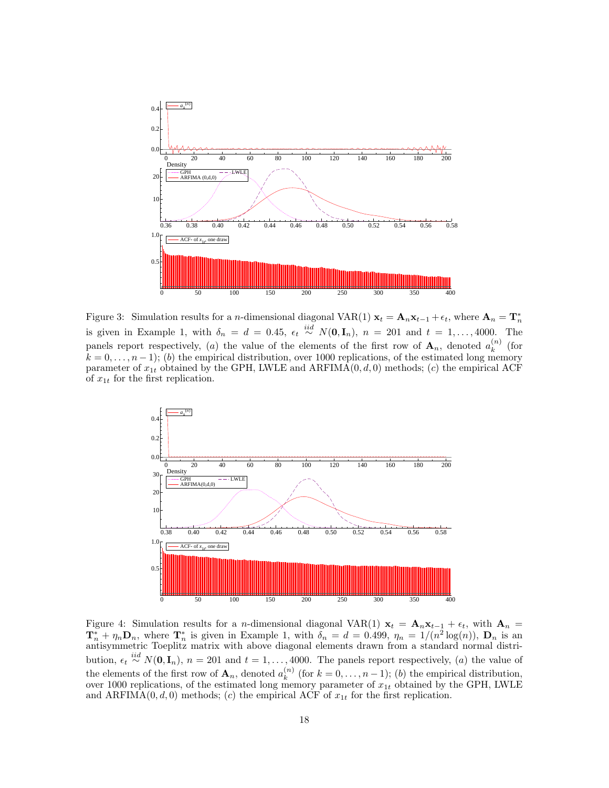

<span id="page-17-0"></span>Figure 3: Simulation results for a n-dimensional diagonal VAR(1)  $x_t = A_n x_{t-1} + \epsilon_t$ , where  $A_n = T_n^*$ is given in Example 1, with  $\delta_n = d = 0.45$ ,  $\epsilon_t \stackrel{iid}{\sim} N(0, \mathbf{I}_n)$ ,  $n = 201$  and  $t = 1, ..., 4000$ . The panels report respectively, (a) the value of the elements of the first row of  $\mathbf{A}_n$ , denoted  $a_k^{(n)}$  $\binom{n}{k}$  (for  $k = 0, \ldots, n-1$ ; (b) the empirical distribution, over 1000 replications, of the estimated long memory parameter of  $x_{1t}$  obtained by the GPH, LWLE and ARFIMA( $(0, d, 0)$ ) methods; (c) the empirical ACF of  $x_{1t}$  for the first replication.



<span id="page-17-1"></span>Figure 4: Simulation results for a n-dimensional diagonal VAR(1)  $x_t = A_n x_{t-1} + \epsilon_t$ , with  $A_n =$  $\mathbf{T}_n^* + \eta_n \mathbf{D}_n$ , where  $\mathbf{T}_n^*$  is given in Example 1, with  $\delta_n = d = 0.499$ ,  $\eta_n = 1/(n^2 \log(n))$ ,  $\mathbf{D}_n$  is an antisymmetric Toeplitz matrix with above diagonal elements drawn from a standard normal distribution,  $\epsilon_t \stackrel{iid}{\sim} N(\mathbf{0}, \mathbf{I}_n)$ ,  $n = 201$  and  $t = 1, \ldots, 4000$ . The panels report respectively, (a) the value of the elements of the first row of  $\mathbf{A}_n$ , denoted  $a_k^{(n)}$  $k^{(n)}$  (for  $k = 0, \ldots, n-1$ ); (b) the empirical distribution, over 1000 replications, of the estimated long memory parameter of  $x_{1t}$  obtained by the GPH, LWLE and ARFIMA(0, d, 0) methods; (c) the empirical ACF of  $x_{1t}$  for the first replication.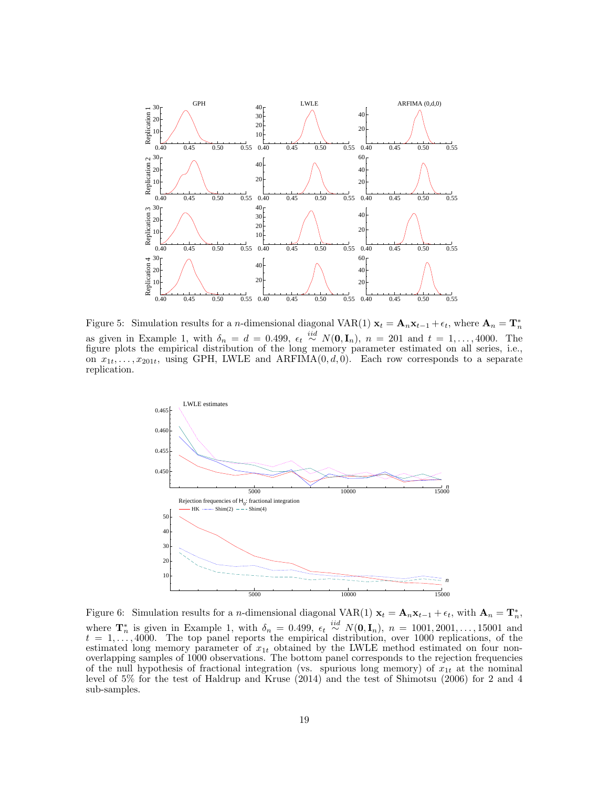

<span id="page-18-0"></span>Figure 5: Simulation results for a n-dimensional diagonal VAR(1)  $x_t = A_n x_{t-1} + \epsilon_t$ , where  $A_n = T_n^*$ as given in Example 1, with  $\delta_n = d = 0.499$ ,  $\epsilon_t \stackrel{iid}{\sim} N(\mathbf{0}, \mathbf{I}_n)$ ,  $n = 201$  and  $t = 1, ..., 4000$ . The figure plots the empirical distribution of the long memory parameter estimated on all series, i.e., on  $x_{1t}, \ldots, x_{201t}$ , using GPH, LWLE and ARFIMA $(0, d, 0)$ . Each row corresponds to a separate replication.



<span id="page-18-1"></span>Figure 6: Simulation results for a *n*-dimensional diagonal VAR(1)  $\mathbf{x}_t = \mathbf{A}_n \mathbf{x}_{t-1} + \epsilon_t$ , with  $\mathbf{A}_n = \mathbf{T}_n^*$ , where  $\mathbf{T}_n^*$  is given in Example 1, with  $\delta_n = 0.499$ ,  $\epsilon_t \stackrel{iid}{\sim} N(\mathbf{0}, \mathbf{I}_n)$ ,  $n = 1001, 2001, \ldots, 15001$  and  $t = 1, \ldots, 4000$ . The top panel reports the empirical distribution, over 1000 replications, of the estimated long memory parameter of  $x_{1t}$  obtained by the LWLE method estimated on four nonoverlapping samples of 1000 observations. The bottom panel corresponds to the rejection frequencies of the null hypothesis of fractional integration (vs. spurious long memory) of  $x_{1t}$  at the nominal level of 5% for the test of Haldrup and Kruse (2014) and the test of Shimotsu (2006) for 2 and 4 sub-samples.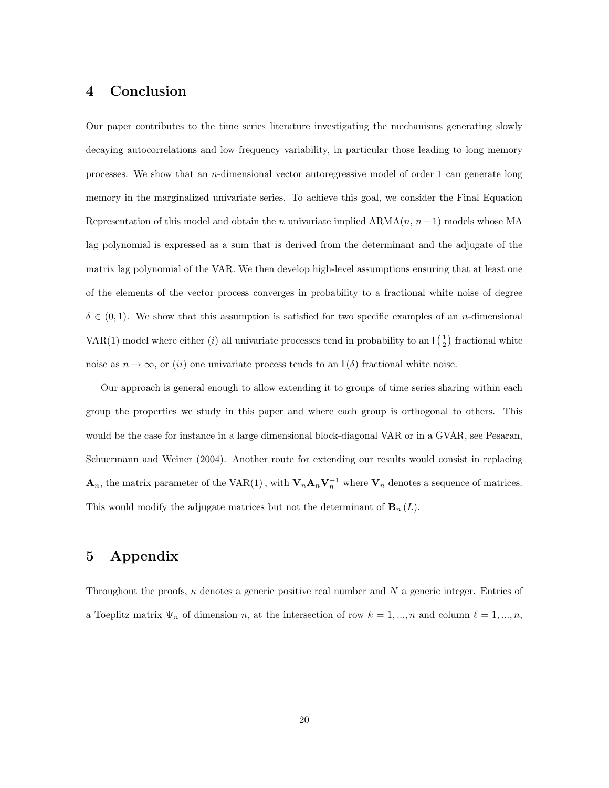## <span id="page-19-0"></span>4 Conclusion

Our paper contributes to the time series literature investigating the mechanisms generating slowly decaying autocorrelations and low frequency variability, in particular those leading to long memory processes. We show that an  $n$ -dimensional vector autoregressive model of order 1 can generate long memory in the marginalized univariate series. To achieve this goal, we consider the Final Equation Representation of this model and obtain the n univariate implied  $ARMA(n, n-1)$  models whose MA lag polynomial is expressed as a sum that is derived from the determinant and the adjugate of the matrix lag polynomial of the VAR. We then develop high-level assumptions ensuring that at least one of the elements of the vector process converges in probability to a fractional white noise of degree  $\delta \in (0,1)$ . We show that this assumption is satisfied for two specific examples of an *n*-dimensional VAR(1) model where either (*i*) all univariate processes tend in probability to an  $\lfloor \frac{1}{2} \rfloor$  fractional white noise as  $n \to \infty$ , or (ii) one univariate process tends to an  $\mathsf{I}(\delta)$  fractional white noise.

Our approach is general enough to allow extending it to groups of time series sharing within each group the properties we study in this paper and where each group is orthogonal to others. This would be the case for instance in a large dimensional block-diagonal VAR or in a GVAR, see Pesaran, Schuermann and Weiner (2004). Another route for extending our results would consist in replacing  $\mathbf{A}_n$ , the matrix parameter of the VAR(1), with  $\mathbf{V}_n \mathbf{A}_n \mathbf{V}_n^{-1}$  where  $\mathbf{V}_n$  denotes a sequence of matrices. This would modify the adjugate matrices but not the determinant of  $\mathbf{B}_n(L)$ .

## 5 Appendix

Throughout the proofs,  $\kappa$  denotes a generic positive real number and N a generic integer. Entries of a Toeplitz matrix  $\Psi_n$  of dimension n, at the intersection of row  $k = 1, ..., n$  and column  $\ell = 1, ..., n$ ,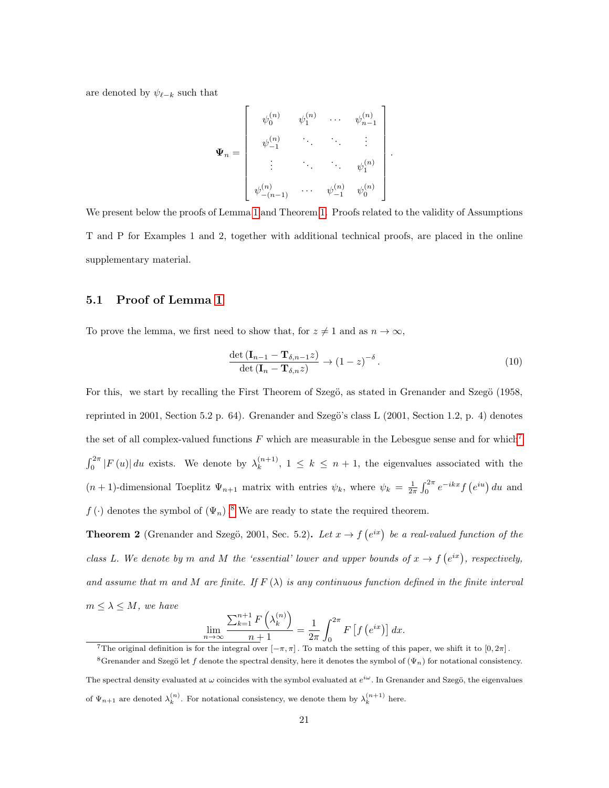are denoted by  $\psi_{\ell-k}$  such that

$$
\mathbf{\Psi}_n = \begin{bmatrix} \psi_0^{(n)} & \psi_1^{(n)} & \cdots & \psi_{n-1}^{(n)} \\ \psi_{-1}^{(n)} & \ddots & \ddots & \vdots \\ \vdots & \ddots & \psi_1^{(n)} \\ \psi_{-(n-1)}^{(n)} & \cdots & \psi_{-1}^{(n)} & \psi_0^{(n)} \end{bmatrix}
$$

We present below the proofs of Lemma [1](#page-7-0) and Theorem [1.](#page-10-0) Proofs related to the validity of Assumptions T and P for Examples 1 and 2, together with additional technical proofs, are placed in the online supplementary material.

## <span id="page-20-0"></span>5.1 Proof of Lemma [1](#page-7-0)

To prove the lemma, we first need to show that, for  $z \neq 1$  and as  $n \to \infty$ ,

<span id="page-20-3"></span>
$$
\frac{\det\left(\mathbf{I}_{n-1} - \mathbf{T}_{\delta,n-1}z\right)}{\det\left(\mathbf{I}_n - \mathbf{T}_{\delta,n}z\right)} \to \left(1 - z\right)^{-\delta}.\tag{10}
$$

.

For this, we start by recalling the First Theorem of Szegö, as stated in Grenander and Szegö (1958, reprinted in 2001, Section 5.2 p. 64). Grenander and Szegö's class L (2001, Section 1.2, p. 4) denotes the set of all complex-valued functions  $F$  which are measurable in the Lebesgue sense and for which<sup>[7](#page-20-1)</sup>  $\int_0^{2\pi} |F(u)| du$  exists. We denote by  $\lambda_k^{(n+1)}$  $\binom{n+1}{k}$ ,  $1 \leq k \leq n+1$ , the eigenvalues associated with the  $(n+1)$ -dimensional Toeplitz  $\Psi_{n+1}$  matrix with entries  $\psi_k$ , where  $\psi_k = \frac{1}{2\pi} \int_0^{2\pi} e^{-ikx} f(e^{iu}) du$  and  $f(\cdot)$  denotes the symbol of  $(\Psi_n)$ .<sup>[8](#page-20-2)</sup> We are ready to state the required theorem.

**Theorem 2** (Grenander and Szegö, 2001, Sec. 5.2). Let  $x \to f(e^{ix})$  be a real-valued function of the class L. We denote by m and M the 'essential' lower and upper bounds of  $x \to f(e^{ix})$ , respectively, and assume that m and M are finite. If  $F(\lambda)$  is any continuous function defined in the finite interval  $m \leq \lambda \leq M$ , we have

$$
\lim_{n \to \infty} \frac{\sum_{k=1}^{n+1} F\left(\lambda_k^{(n)}\right)}{n+1} = \frac{1}{2\pi} \int_0^{2\pi} F\left[f\left(e^{ix}\right)\right] dx.
$$

<span id="page-20-2"></span><span id="page-20-1"></span><sup>&</sup>lt;sup>7</sup>The original definition is for the integral over  $[-\pi, \pi]$ . To match the setting of this paper, we shift it to  $[0, 2\pi]$ .

<sup>&</sup>lt;sup>8</sup>Grenander and Szegö let f denote the spectral density, here it denotes the symbol of  $(\Psi_n)$  for notational consistency. The spectral density evaluated at  $\omega$  coincides with the symbol evaluated at  $e^{i\omega}$ . In Grenander and Szegö, the eigenvalues

of  $\Psi_{n+1}$  are denoted  $\lambda_k^{(n)}$ . For notational consistency, we denote them by  $\lambda_k^{(n+1)}$  here.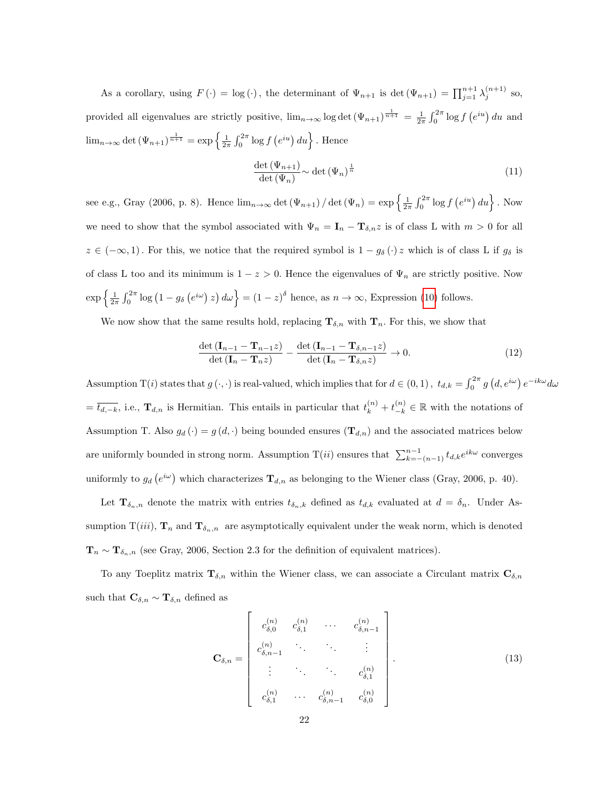As a corollary, using  $F(\cdot) = \log(\cdot)$ , the determinant of  $\Psi_{n+1}$  is  $\det(\Psi_{n+1}) = \prod_{j=1}^{n+1} \lambda_j^{(n+1)}$  so, provided all eigenvalues are strictly positive,  $\lim_{n\to\infty}$  log det  $(\Psi_{n+1})^{\frac{1}{n+1}} = \frac{1}{2\pi} \int_0^{2\pi} \log f(e^{iu}) du$  and  $\lim_{n\to\infty} \det(\Psi_{n+1})^{\frac{1}{n+1}} = \exp\left\{\frac{1}{2\pi}\int_0^{2\pi} \log f(e^{iu}) du\right\}$ . Hence

<span id="page-21-0"></span>
$$
\frac{\det(\Psi_{n+1})}{\det(\Psi_n)} \sim \det(\Psi_n)^{\frac{1}{n}} \tag{11}
$$

see e.g., Gray (2006, p. 8). Hence  $\lim_{n\to\infty} \det(\Psi_{n+1}) / \det(\Psi_n) = \exp\left\{\frac{1}{2\pi} \int_0^{2\pi} \log f(e^{iu}) du\right\}$ . Now we need to show that the symbol associated with  $\Psi_n = \mathbf{I}_n - \mathbf{T}_{\delta,n} z$  is of class L with  $m > 0$  for all  $z \in (-\infty, 1)$ . For this, we notice that the required symbol is  $1 - g_\delta(\cdot) z$  which is of class L if  $g_\delta$  is of class L too and its minimum is  $1 - z > 0$ . Hence the eigenvalues of  $\Psi_n$  are strictly positive. Now  $\exp\left\{\frac{1}{2\pi}\int_0^{2\pi}\log\left(1-g_\delta\left(e^{i\omega}\right)z\right)d\omega\right\}=(1-z)^\delta$  hence, as  $n\to\infty$ , Expression [\(10\)](#page-20-3) follows.

We now show that the same results hold, replacing  $\mathbf{T}_{\delta,n}$  with  $\mathbf{T}_n$ . For this, we show that

<span id="page-21-1"></span>
$$
\frac{\det\left(\mathbf{I}_{n-1}-\mathbf{T}_{n-1}z\right)}{\det\left(\mathbf{I}_{n}-\mathbf{T}_{n}z\right)} - \frac{\det\left(\mathbf{I}_{n-1}-\mathbf{T}_{\delta,n-1}z\right)}{\det\left(\mathbf{I}_{n}-\mathbf{T}_{\delta,n}z\right)} \to 0.
$$
\n(12)

Assumption T(*i*) states that  $g(\cdot, \cdot)$  is real-valued, which implies that for  $d \in (0, 1)$ ,  $t_{d,k} = \int_0^{2\pi} g(d, e^{i\omega}) e^{-ik\omega} d\omega$  $=\overline{t_{d,-k}}$ , i.e.,  $\mathbf{T}_{d,n}$  is Hermitian. This entails in particular that  $t_k^{(n)} + t_{-k}^{(n)} \in \mathbb{R}$  with the notations of Assumption T. Also  $g_d(\cdot) = g(d, \cdot)$  being bounded ensures  $(\mathbf{T}_{d,n})$  and the associated matrices below are uniformly bounded in strong norm. Assumption  $T(ii)$  ensures that  $\sum_{k=-(n-1)}^{n-1} t_{d,k} e^{ik\omega}$  converges uniformly to  $g_d(e^{i\omega})$  which characterizes  $\mathbf{T}_{d,n}$  as belonging to the Wiener class (Gray, 2006, p. 40).

Let  $\mathbf{T}_{\delta_n,n}$  denote the matrix with entries  $t_{\delta_n,k}$  defined as  $t_{d,k}$  evaluated at  $d = \delta_n$ . Under Assumption  $T(iii)$ ,  $\mathbf{T}_n$  and  $\mathbf{T}_{\delta_n,n}$  are asymptotically equivalent under the weak norm, which is denoted  $\mathbf{T}_n \sim \mathbf{T}_{\delta_n,n}$  (see Gray, 2006, Section 2.3 for the definition of equivalent matrices).

To any Toeplitz matrix  $\mathbf{T}_{\delta,n}$  within the Wiener class, we can associate a Circulant matrix  $\mathbf{C}_{\delta,n}$ such that  $\mathbf{C}_{\delta,n} \sim \mathbf{T}_{\delta,n}$  defined as

$$
\mathbf{C}_{\delta,n} = \begin{bmatrix} c_{\delta,0}^{(n)} & c_{\delta,1}^{(n)} & \cdots & c_{\delta,n-1}^{(n)} \\ c_{\delta,n-1}^{(n)} & \ddots & \ddots & \vdots \\ \vdots & \ddots & \ddots & c_{\delta,1}^{(n)} \\ c_{\delta,1}^{(n)} & \cdots & c_{\delta,n-1}^{(n)} & c_{\delta,0}^{(n)} \end{bmatrix} . \tag{13}
$$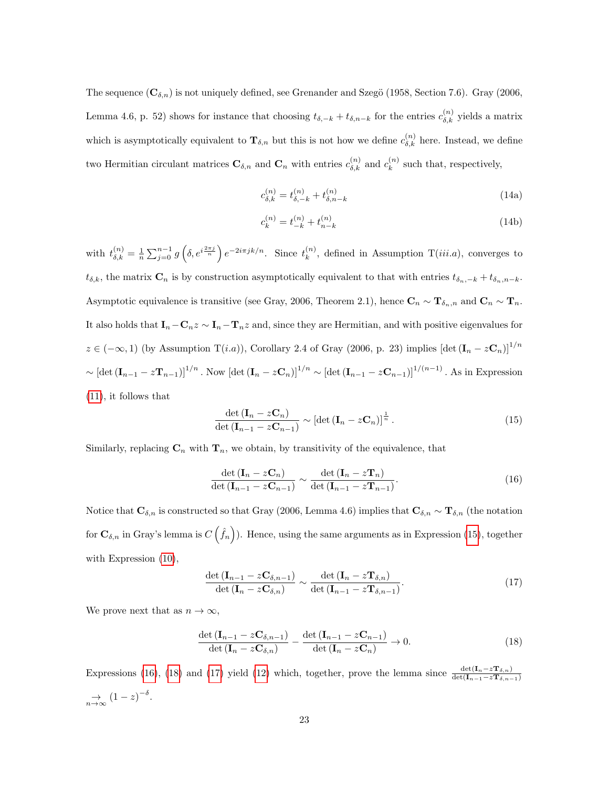The sequence  $(C_{\delta,n})$  is not uniquely defined, see Grenander and Szegö (1958, Section 7.6). Gray (2006, Lemma 4.6, p. 52) shows for instance that choosing  $t_{\delta,-k} + t_{\delta,n-k}$  for the entries  $c_{\delta,k}^{(n)}$  yields a matrix which is asymptotically equivalent to  $\mathbf{T}_{\delta,n}$  but this is not how we define  $c_{\delta,k}^{(n)}$  here. Instead, we define two Hermitian circulant matrices  $\mathbf{C}_{\delta,n}$  and  $\mathbf{C}_n$  with entries  $c_{\delta,k}^{(n)}$  and  $c_k^{(n)}$  $k^{(n)}$  such that, respectively,

$$
c_{\delta,k}^{(n)} = t_{\delta,-k}^{(n)} + t_{\delta,n-k}^{(n)}
$$
\n(14a)

$$
c_k^{(n)} = t_{-k}^{(n)} + t_{n-k}^{(n)}
$$
\n(14b)

with  $t_{\delta,k}^{(n)} = \frac{1}{n} \sum_{j=0}^{n-1} g\left(\delta, e^{i\frac{2\pi j}{n}}\right) e^{-2i\pi jk/n}$ . Since  $t_k^{(n)}$  $\binom{n}{k}$ , defined in Assumption T(*iii.a*), converges to  $t_{\delta,k}$ , the matrix  $\mathbf{C}_n$  is by construction asymptotically equivalent to that with entries  $t_{\delta_n,-k} + t_{\delta_n,n-k}$ . Asymptotic equivalence is transitive (see Gray, 2006, Theorem 2.1), hence  $\mathbf{C}_n \sim \mathbf{T}_{\delta_n,n}$  and  $\mathbf{C}_n \sim \mathbf{T}_n$ . It also holds that  $\mathbf{I}_n-\mathbf{C}_nz\sim \mathbf{I}_n-\mathbf{T}_nz$  and, since they are Hermitian, and with positive eigenvalues for  $z \in (-\infty, 1)$  (by Assumption T(i.a)), Corollary 2.4 of Gray (2006, p. 23) implies  $[\det (\mathbf{I}_n - z\mathbf{C}_n)]^{1/n}$  $\sim [\text{det} (\mathbf{I}_{n-1} - z \mathbf{T}_{n-1})]^{1/n}$ . Now  $[\text{det} (\mathbf{I}_n - z \mathbf{C}_n)]^{1/n} \sim [\text{det} (\mathbf{I}_{n-1} - z \mathbf{C}_{n-1})]^{1/(n-1)}$ . As in Expression [\(11\)](#page-21-0), it follows that

<span id="page-22-0"></span>
$$
\frac{\det\left(\mathbf{I}_n - z\mathbf{C}_n\right)}{\det\left(\mathbf{I}_{n-1} - z\mathbf{C}_{n-1}\right)} \sim \left[\det\left(\mathbf{I}_n - z\mathbf{C}_n\right)\right]^{\frac{1}{n}}.
$$
\n(15)

Similarly, replacing  $C_n$  with  $T_n$ , we obtain, by transitivity of the equivalence, that

<span id="page-22-1"></span>
$$
\frac{\det\left(\mathbf{I}_n - z\mathbf{C}_n\right)}{\det\left(\mathbf{I}_{n-1} - z\mathbf{C}_{n-1}\right)} \sim \frac{\det\left(\mathbf{I}_n - z\mathbf{T}_n\right)}{\det\left(\mathbf{I}_{n-1} - z\mathbf{T}_{n-1}\right)}.\tag{16}
$$

Notice that  $\mathbf{C}_{\delta,n}$  is constructed so that Gray (2006, Lemma 4.6) implies that  $\mathbf{C}_{\delta,n} \sim \mathbf{T}_{\delta,n}$  (the notation for  $\mathbf{C}_{\delta,n}$  in Gray's lemma is  $C\left(\hat{f}_n\right)$ ). Hence, using the same arguments as in Expression [\(15\)](#page-22-0), together with Expression [\(10\)](#page-20-3),

<span id="page-22-3"></span>
$$
\frac{\det\left(\mathbf{I}_{n-1} - z\mathbf{C}_{\delta,n-1}\right)}{\det\left(\mathbf{I}_n - z\mathbf{C}_{\delta,n}\right)} \sim \frac{\det\left(\mathbf{I}_n - z\mathbf{T}_{\delta,n}\right)}{\det\left(\mathbf{I}_{n-1} - z\mathbf{T}_{\delta,n-1}\right)}.\tag{17}
$$

We prove next that as  $n \to \infty$ ,

<span id="page-22-2"></span>
$$
\frac{\det\left(\mathbf{I}_{n-1} - z\mathbf{C}_{\delta,n-1}\right)}{\det\left(\mathbf{I}_n - z\mathbf{C}_{\delta,n}\right)} - \frac{\det\left(\mathbf{I}_{n-1} - z\mathbf{C}_{n-1}\right)}{\det\left(\mathbf{I}_n - z\mathbf{C}_n\right)} \to 0.
$$
\n(18)

Expressions [\(16\)](#page-22-1), [\(18\)](#page-22-2) and [\(17\)](#page-22-3) yield [\(12\)](#page-21-1) which, together, prove the lemma since  $\frac{\det(\mathbf{I}_n - z\mathbf{T}_{\delta,n})}{\det(\mathbf{I}_{n-1}-z\mathbf{T}_{\delta,n-1})}$  $\Rightarrow_{n\to\infty} (1-z)^{-\delta}.$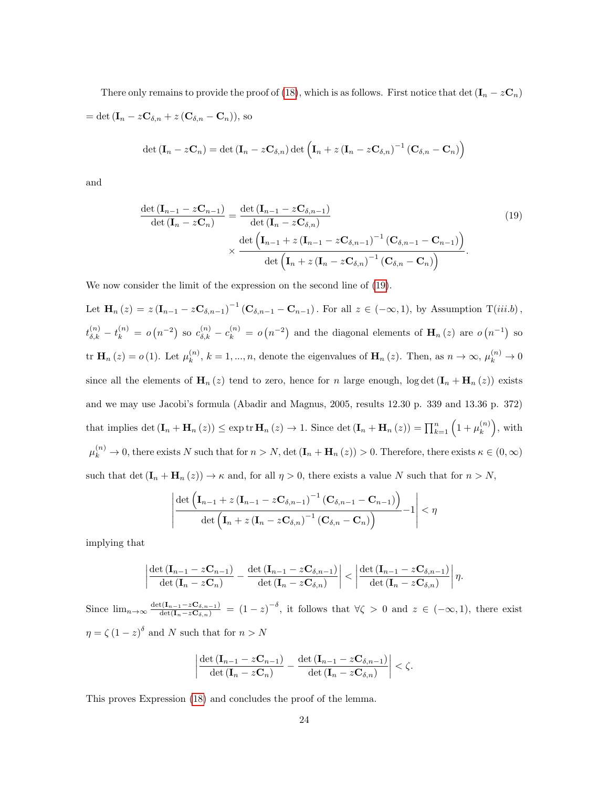There only remains to provide the proof of [\(18\)](#page-22-2), which is as follows. First notice that det  $(\mathbf{I}_n - z\mathbf{C}_n)$ = det  $(\mathbf{I}_n - z\mathbf{C}_{\delta,n} + z(\mathbf{C}_{\delta,n} - \mathbf{C}_n)),$  so

$$
\det (\mathbf{I}_n - z\mathbf{C}_n) = \det (\mathbf{I}_n - z\mathbf{C}_{\delta,n}) \det (\mathbf{I}_n + z(\mathbf{I}_n - z\mathbf{C}_{\delta,n})^{-1} (\mathbf{C}_{\delta,n} - \mathbf{C}_n))
$$

and

<span id="page-23-0"></span>
$$
\frac{\det(\mathbf{I}_{n-1} - z\mathbf{C}_{n-1})}{\det(\mathbf{I}_n - z\mathbf{C}_n)} = \frac{\det(\mathbf{I}_{n-1} - z\mathbf{C}_{\delta,n-1})}{\det(\mathbf{I}_n - z\mathbf{C}_{\delta,n})} \times \frac{\det(\mathbf{I}_{n-1} + z(\mathbf{I}_{n-1} - z\mathbf{C}_{\delta,n-1})^{-1}(\mathbf{C}_{\delta,n-1} - \mathbf{C}_{n-1}))}{\det(\mathbf{I}_n + z(\mathbf{I}_n - z\mathbf{C}_{\delta,n})^{-1}(\mathbf{C}_{\delta,n} - \mathbf{C}_n))}.
$$
\n(19)

We now consider the limit of the expression on the second line of [\(19\)](#page-23-0).

Let  $\mathbf{H}_n(z) = z (\mathbf{I}_{n-1} - z \mathbf{C}_{\delta,n-1})^{-1} (\mathbf{C}_{\delta,n-1} - \mathbf{C}_{n-1})$ . For all  $z \in (-\infty,1)$ , by Assumption  $T(iii.b)$ ,  $t_{\delta,k}^{(n)} - t_k^{(n)} = o(n^{-2})$  so  $c_{\delta,k}^{(n)} - c_k^{(n)} = o(n^{-2})$  and the diagonal elements of  $\mathbf{H}_n(z)$  are  $o(n^{-1})$  so tr  $H_n(z) = o(1)$ . Let  $\mu_k^{(n)}$  $k_k^{(n)}$ ,  $k = 1, ..., n$ , denote the eigenvalues of  $\mathbf{H}_n(z)$ . Then, as  $n \to \infty$ ,  $\mu_k^{(n)} \to 0$ since all the elements of  $\mathbf{H}_n(z)$  tend to zero, hence for n large enough, log det  $(\mathbf{I}_n + \mathbf{H}_n(z))$  exists and we may use Jacobi's formula (Abadir and Magnus, 2005, results 12.30 p. 339 and 13.36 p. 372) that implies det  $(\mathbf{I}_n + \mathbf{H}_n(z)) \leq \exp \mathrm{tr} \, \mathbf{H}_n(z) \to 1$ . Since det  $(\mathbf{I}_n + \mathbf{H}_n(z)) = \prod_{k=1}^n (1 + \mu_k^{(n)})$  $\binom{n}{k}$ , with  $\mu_k^{(n)} \to 0$ , there exists N such that for  $n > N$ , det  $(\mathbf{I}_n + \mathbf{H}_n (z)) > 0$ . Therefore, there exists  $\kappa \in (0, \infty)$ such that det  $(\mathbf{I}_n + \mathbf{H}_n(z)) \to \kappa$  and, for all  $\eta > 0$ , there exists a value N such that for  $n > N$ ,

$$
\left|\frac{\det\left(\mathbf{I}_{n-1}+z\left(\mathbf{I}_{n-1}-z\mathbf{C}_{\delta,n-1}\right)^{-1}\left(\mathbf{C}_{\delta,n-1}-\mathbf{C}_{n-1}\right)\right)}{\det\left(\mathbf{I}_n+z\left(\mathbf{I}_n-z\mathbf{C}_{\delta,n}\right)^{-1}\left(\mathbf{C}_{\delta,n}-\mathbf{C}_n\right)\right)}\right|<\eta
$$

implying that

$$
\left|\frac{\det\left(\mathbf{I}_{n-1}-z\mathbf{C}_{n-1}\right)}{\det\left(\mathbf{I}_{n}-z\mathbf{C}_{n}\right)}-\frac{\det\left(\mathbf{I}_{n-1}-z\mathbf{C}_{\delta,n-1}\right)}{\det\left(\mathbf{I}_{n}-z\mathbf{C}_{\delta,n}\right)}\right|<\left|\frac{\det\left(\mathbf{I}_{n-1}-z\mathbf{C}_{\delta,n-1}\right)}{\det\left(\mathbf{I}_{n}-z\mathbf{C}_{\delta,n}\right)}\right|\eta.
$$

Since  $\lim_{n\to\infty} \frac{\det(\mathbf{I}_{n-1}-z\mathbf{C}_{\delta,n-1})}{\det(\mathbf{I}_n-z\mathbf{C}_{\delta,n})}$  =  $(1-z)^{-\delta}$ , it follows that  $\forall \zeta > 0$  and  $z \in (-\infty,1)$ , there exist  $\eta = \zeta (1-z)^{\delta}$  and N such that for  $n > N$ 

$$
\left|\frac{\det(\mathbf{I}_{n-1}-z\mathbf{C}_{n-1})}{\det(\mathbf{I}_n-z\mathbf{C}_n)}-\frac{\det(\mathbf{I}_{n-1}-z\mathbf{C}_{\delta,n-1})}{\det(\mathbf{I}_n-z\mathbf{C}_{\delta,n})}\right|<\zeta.
$$

This proves Expression [\(18\)](#page-22-2) and concludes the proof of the lemma.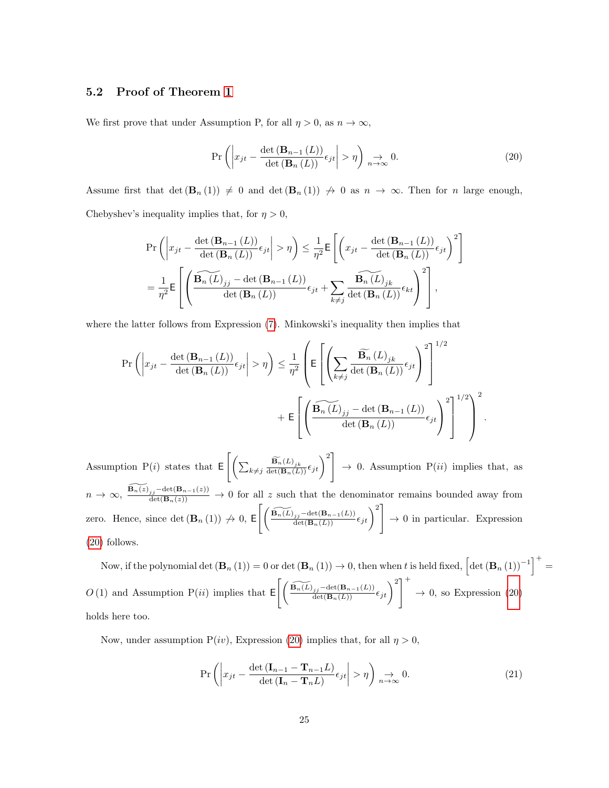#### <span id="page-24-0"></span>5.2 Proof of Theorem [1](#page-10-0)

We first prove that under Assumption P, for all  $\eta > 0$ , as  $n \to \infty$ ,

<span id="page-24-1"></span>
$$
\Pr\left(\left|x_{jt} - \frac{\det\left(\mathbf{B}_{n-1}\left(L\right)\right)}{\det\left(\mathbf{B}_n\left(L\right)\right)}\epsilon_{jt}\right| > \eta\right) \underset{n \to \infty}{\to} 0. \tag{20}
$$

Assume first that det  $(\mathbf{B}_n(1)) \neq 0$  and det  $(\mathbf{B}_n(1)) \neq 0$  as  $n \to \infty$ . Then for n large enough, Chebyshev's inequality implies that, for  $\eta > 0$ ,

$$
\Pr\left(\left|x_{jt} - \frac{\det\left(\mathbf{B}_{n-1}\left(L\right)\right)}{\det\left(\mathbf{B}_{n}\left(L\right)\right)}\epsilon_{jt}\right| > \eta\right) \leq \frac{1}{\eta^2} \mathsf{E}\left[\left(x_{jt} - \frac{\det\left(\mathbf{B}_{n-1}\left(L\right)\right)}{\det\left(\mathbf{B}_{n}\left(L\right)\right)}\epsilon_{jt}\right)^2\right]
$$
\n
$$
= \frac{1}{\eta^2} \mathsf{E}\left[\left(\frac{\widehat{\mathbf{B}_{n}\left(L\right)}}{2}\epsilon_{jt} - \det\left(\mathbf{B}_{n-1}\left(L\right)\right)}\epsilon_{jt} + \sum_{k \neq j} \frac{\widehat{\mathbf{B}_{n}\left(L\right)}}{\det\left(\mathbf{B}_{n}\left(L\right)\right)}\epsilon_{kt}\right)^2\right],
$$

where the latter follows from Expression  $(7)$ . Minkowski's inequality then implies that

$$
\Pr\left(\left|x_{jt} - \frac{\det(\mathbf{B}_{n-1}(L))}{\det(\mathbf{B}_n(L))}\epsilon_{jt}\right| > \eta\right) \leq \frac{1}{\eta^2} \left(\mathsf{E}\left[\left(\sum_{k\neq j} \frac{\widetilde{\mathbf{B}_n}(L)_{jk}}{\det(\mathbf{B}_n(L))}\epsilon_{jt}\right)^2\right]^{1/2} + \mathsf{E}\left[\left(\frac{\widetilde{\mathbf{B}_n(L)_{jj}} - \det(\mathbf{B}_{n-1}(L))}{\det(\mathbf{B}_n(L))}\epsilon_{jt}\right)^2\right]^{1/2}\right)^2.
$$

Assumption P(*i*) states that  $E\left[\left(\sum_{k\neq j}\frac{\widetilde{\mathbf{B}_{n}}(L)_{jk}}{\det(\mathbf{B}_{n}(L))}\epsilon_{jt}\right)^{2}\right]$  $\rightarrow$  0. Assumption P(ii) implies that, as  $n \to \infty$ ,  $\frac{\widetilde{\mathbf{B}_n(z)}_{j,j}-\det(\mathbf{B}_{n-1}(z))}{\det(\mathbf{B}_n(z))} \to 0$  for all z such that the denominator remains bounded away from zero. Hence, since  $\det(\mathbf{B}_n(1)) \nrightarrow 0, \ \mathsf{E}\left[\left(\frac{\widetilde{\mathbf{B}_n(L)}_{j,j}-\det(\mathbf{B}_{n-1}(L))}{\det(\mathbf{B}_n(L))}\epsilon_{jt}\right)^2\right]$  $\rightarrow 0$  in particular. Expression [\(20\)](#page-24-1) follows.

Now, if the polynomial det  $(\mathbf{B}_n(1)) = 0$  or det  $(\mathbf{B}_n(1)) \to 0$ , then when t is held fixed,  $\left[\det(\mathbf{B}_n(1))^{-1}\right]^+ =$ O(1) and Assumption P(ii) implies that  $\mathsf{E}\left[\left(\frac{\widetilde{\mathbf{B}_{n}(L)}_{j,j}-\det(\mathbf{B}_{n-1}(L))}{\det(\mathbf{B}_{n}(L))}\epsilon_{jt}\right)^{2}\right]^{+}$  $\rightarrow$  0, so Expression [\(20\)](#page-24-1) holds here too.

Now, under assumption  $P(iv)$ , Expression [\(20\)](#page-24-1) implies that, for all  $\eta > 0$ ,

<span id="page-24-2"></span>
$$
\Pr\left(\left|x_{jt} - \frac{\det\left(\mathbf{I}_{n-1} - \mathbf{T}_{n-1}L\right)}{\det\left(\mathbf{I}_n - \mathbf{T}_nL\right)}\epsilon_{jt}\right| > \eta\right) \underset{n \to \infty}{\to} 0. \tag{21}
$$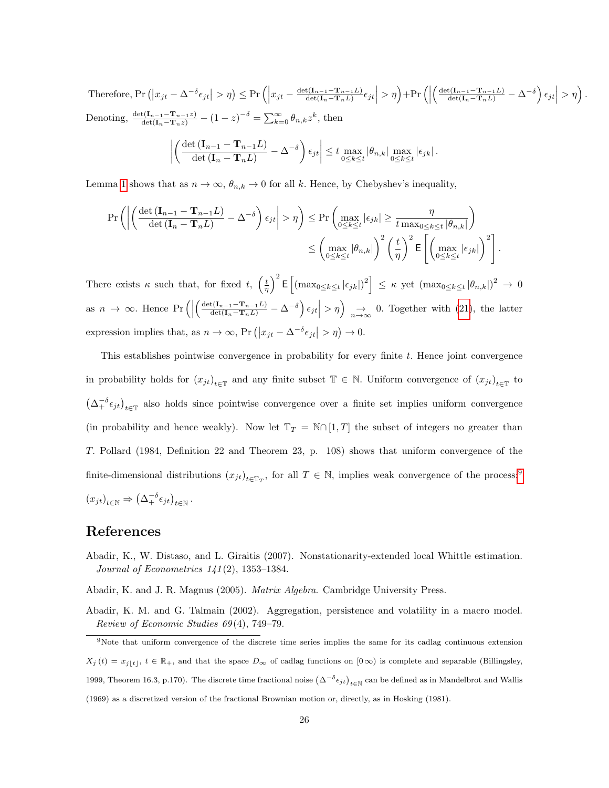Therefore,  $Pr\left(|x_{jt} - \Delta^{-\delta} \epsilon_{jt}| > \eta\right) \leq Pr\left(\left|x_{jt} - \frac{\det(\mathbf{I}_{n-1} - \mathbf{T}_{n-1}L)}{\det(\mathbf{I}_{n} - \mathbf{T}_{n}L)}\right|\right)$  $\frac{\det(\mathbf{I}_{n-1}-\mathbf{T}_{n-1}L)}{\det(\mathbf{I}_n-\mathbf{T}_nL)}\epsilon_{jt}\Big|>\eta\Big)+\Pr\Big(\Big|\Big|$  $\left( \frac{\det(\mathbf{I}_{n-1}-\mathbf{T}_{n-1}L)}{\det(\mathbf{I}_n-\mathbf{T}_nL)} - \Delta^{-\delta} \right) \epsilon_{jt} \Big| > \eta \right).$ Denoting,  $\frac{\det(\mathbf{I}_{n-1}-\mathbf{T}_{n-1}z)}{\det(\mathbf{I}_n-\mathbf{T}_nz)} - (1-z)^{-\delta} = \sum_{k=0}^{\infty} \theta_{n,k}z^k$ , then

$$
\left| \left( \frac{\det \left( \mathbf{I}_{n-1} - \mathbf{T}_{n-1} L \right)}{\det \left( \mathbf{I}_{n} - \mathbf{T}_{n} L \right)} - \Delta^{-\delta} \right) \epsilon_{jt} \right| \leq t \max_{0 \leq k \leq t} |\theta_{n,k}| \max_{0 \leq k \leq t} |\epsilon_{jk}|.
$$

Lemma [1](#page-7-0) shows that as  $n \to \infty$ ,  $\theta_{n,k} \to 0$  for all k. Hence, by Chebyshev's inequality,

$$
\Pr\left(\left|\left(\frac{\det\left(\mathbf{I}_{n-1}-\mathbf{T}_{n-1}L\right)}{\det\left(\mathbf{I}_{n}-\mathbf{T}_{n}L\right)}-\Delta^{-\delta}\right)\epsilon_{jt}\right|>\eta\right)\leq\Pr\left(\max_{0\leq k\leq t}|\epsilon_{jk}|\geq\frac{\eta}{t\max_{0\leq k\leq t}|\theta_{n,k}|}\right)
$$

$$
\leq\left(\max_{0\leq k\leq t}|\theta_{n,k}|\right)^{2}\left(\frac{t}{\eta}\right)^{2}\mathsf{E}\left[\left(\max_{0\leq k\leq t}|\epsilon_{jk}|\right)^{2}\right].
$$

There exists  $\kappa$  such that, for fixed  $t, \left(\frac{t}{\eta}\right)^2 \mathsf{E}\left[\left(\max_{0 \leq k \leq t} |\epsilon_{jk}|\right)^2\right] \leq \kappa$  yet  $\left(\max_{0 \leq k \leq t} |\theta_{n,k}|\right)^2 \to 0$ as  $n \to \infty$ . Hence Pr $\left( \right|$  $\left(\frac{\det(\mathbf{I}_{n-1}-\mathbf{T}_{n-1}L)}{\det(\mathbf{I}_n-\mathbf{T}_nL)}-\Delta^{-\delta}\right)\epsilon_{jt}\right|\geq\eta\right)\underset{n\rightarrow\infty}{\rightarrow} 0.$  Together with [\(21\)](#page-24-2), the latter expression implies that, as  $n \to \infty$ , Pr  $(|x_{jt} - \Delta^{-\delta} \epsilon_{jt}| > \eta) \to 0$ .

This establishes pointwise convergence in probability for every finite t. Hence joint convergence in probability holds for  $(x_{jt})_{t\in\mathbb{T}}$  and any finite subset  $\mathbb{T} \in \mathbb{N}$ . Uniform convergence of  $(x_{jt})_{t\in\mathbb{T}}$  to  $(\Delta_+^{-\delta} \epsilon_{jt})_{t \in \mathbb{T}}$  also holds since pointwise convergence over a finite set implies uniform convergence (in probability and hence weakly). Now let  $\mathbb{T}_T = \mathbb{N} \cap [1,T]$  the subset of integers no greater than T. Pollard (1984, Definition 22 and Theorem 23, p. 108) shows that uniform convergence of the finite-dimensional distributions  $(x_{jt})_{t \in \mathbb{T}_T}$ , for all  $T \in \mathbb{N}$ , implies weak convergence of the process:<sup>[9](#page-25-0)</sup>  $(x_{jt})_{t \in \mathbb{N}} \Rightarrow (\Delta_+^{-\delta} \epsilon_{jt})_{t \in \mathbb{N}}.$ 

## References

- Abadir, K., W. Distaso, and L. Giraitis (2007). Nonstationarity-extended local Whittle estimation. Journal of Econometrics 141 (2), 1353–1384.
- Abadir, K. and J. R. Magnus (2005). Matrix Algebra. Cambridge University Press.
- Abadir, K. M. and G. Talmain (2002). Aggregation, persistence and volatility in a macro model. Review of Economic Studies 69 (4), 749–79.

<span id="page-25-0"></span><sup>9</sup>Note that uniform convergence of the discrete time series implies the same for its cadlag continuous extension  $X_j(t) = x_{j|t|}$ ,  $t \in \mathbb{R}_+$ , and that the space  $D_{\infty}$  of cadlag functions on  $[0,\infty)$  is complete and separable (Billingsley, 1999, Theorem 16.3, p.170). The discrete time fractional noise  $(\Delta^{-\delta} \epsilon_{jt})_{t \in \mathbb{N}}$  can be defined as in Mandelbrot and Wallis (1969) as a discretized version of the fractional Brownian motion or, directly, as in Hosking (1981).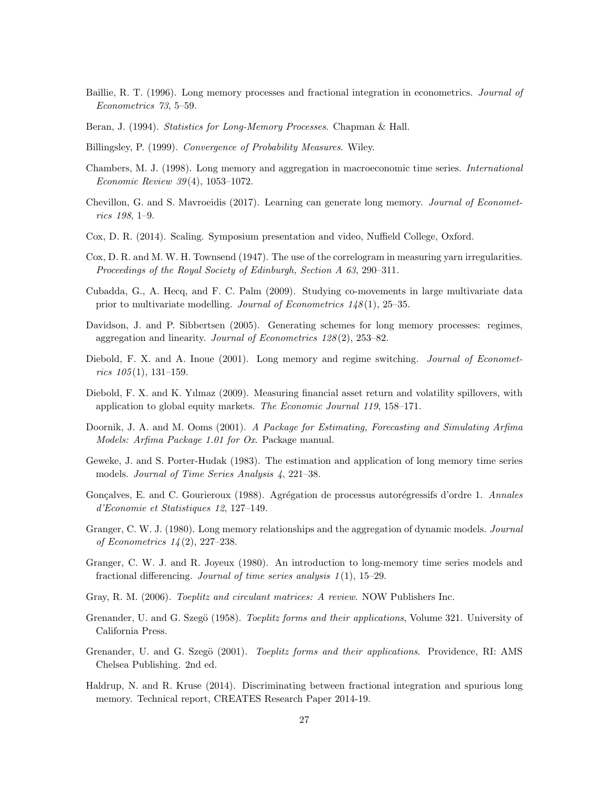- Baillie, R. T. (1996). Long memory processes and fractional integration in econometrics. Journal of Econometrics 73, 5–59.
- Beran, J. (1994). Statistics for Long-Memory Processes. Chapman & Hall.
- Billingsley, P. (1999). Convergence of Probability Measures. Wiley.
- Chambers, M. J. (1998). Long memory and aggregation in macroeconomic time series. International Economic Review 39 (4), 1053–1072.
- Chevillon, G. and S. Mavroeidis (2017). Learning can generate long memory. Journal of Econometrics 198, 1–9.
- Cox, D. R. (2014). Scaling. Symposium presentation and video, Nuffield College, Oxford.
- Cox, D. R. and M. W. H. Townsend (1947). The use of the correlogram in measuring yarn irregularities. Proceedings of the Royal Society of Edinburgh, Section A 63, 290–311.
- Cubadda, G., A. Hecq, and F. C. Palm (2009). Studying co-movements in large multivariate data prior to multivariate modelling. Journal of Econometrics  $1/8(1)$ , 25–35.
- Davidson, J. and P. Sibbertsen (2005). Generating schemes for long memory processes: regimes, aggregation and linearity. Journal of Econometrics 128 (2), 253–82.
- Diebold, F. X. and A. Inoue (2001). Long memory and regime switching. Journal of Econometrics  $105(1)$ , 131-159.
- Diebold, F. X. and K. Yılmaz (2009). Measuring financial asset return and volatility spillovers, with application to global equity markets. The Economic Journal 119, 158–171.
- Doornik, J. A. and M. Ooms (2001). A Package for Estimating, Forecasting and Simulating Arfima Models: Arfima Package 1.01 for Ox. Package manual.
- Geweke, J. and S. Porter-Hudak (1983). The estimation and application of long memory time series models. Journal of Time Series Analysis 4, 221–38.
- Gonçalves, E. and C. Gourieroux (1988). Agrégation de processus autorégressifs d'ordre 1. Annales d'Economie et Statistiques 12, 127–149.
- Granger, C. W. J. (1980). Long memory relationships and the aggregation of dynamic models. Journal of Econometrics 14 (2), 227–238.
- Granger, C. W. J. and R. Joyeux (1980). An introduction to long-memory time series models and fractional differencing. Journal of time series analysis  $1(1)$ , 15–29.
- Gray, R. M. (2006). Toeplitz and circulant matrices: A review. NOW Publishers Inc.
- Grenander, U. and G. Szegö (1958). Toeplitz forms and their applications, Volume 321. University of California Press.
- Grenander, U. and G. Szegö (2001). Toeplitz forms and their applications. Providence, RI: AMS Chelsea Publishing. 2nd ed.
- Haldrup, N. and R. Kruse (2014). Discriminating between fractional integration and spurious long memory. Technical report, CREATES Research Paper 2014-19.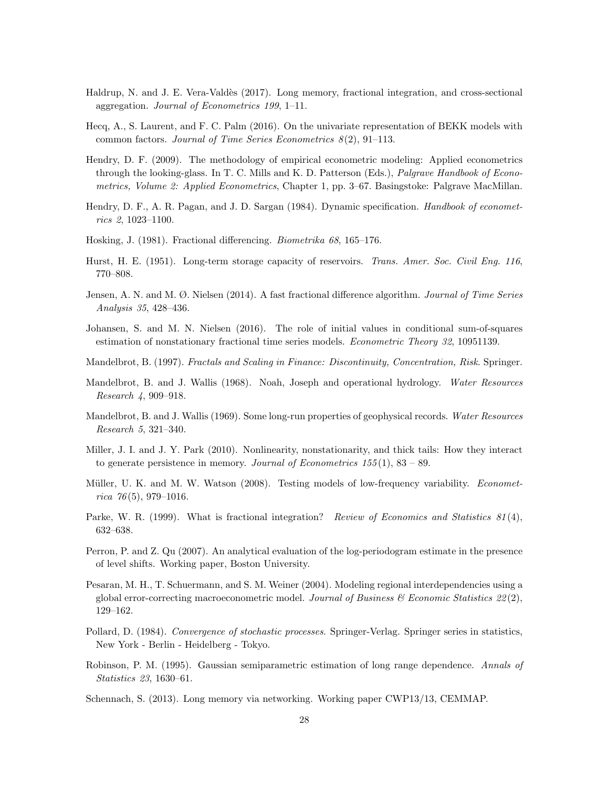- Haldrup, N. and J. E. Vera-Valdès (2017). Long memory, fractional integration, and cross-sectional aggregation. Journal of Econometrics 199, 1–11.
- Hecq, A., S. Laurent, and F. C. Palm (2016). On the univariate representation of BEKK models with common factors. Journal of Time Series Econometrics  $8(2)$ , 91–113.
- Hendry, D. F. (2009). The methodology of empirical econometric modeling: Applied econometrics through the looking-glass. In T. C. Mills and K. D. Patterson (Eds.), Palgrave Handbook of Econometrics, Volume 2: Applied Econometrics, Chapter 1, pp. 3–67. Basingstoke: Palgrave MacMillan.
- Hendry, D. F., A. R. Pagan, and J. D. Sargan (1984). Dynamic specification. Handbook of econometrics 2, 1023–1100.
- Hosking, J. (1981). Fractional differencing. Biometrika 68, 165–176.
- Hurst, H. E. (1951). Long-term storage capacity of reservoirs. Trans. Amer. Soc. Civil Eng. 116, 770–808.
- Jensen, A. N. and M. Ø. Nielsen (2014). A fast fractional difference algorithm. Journal of Time Series Analysis 35, 428–436.
- Johansen, S. and M. N. Nielsen (2016). The role of initial values in conditional sum-of-squares estimation of nonstationary fractional time series models. Econometric Theory 32, 10951139.
- Mandelbrot, B. (1997). Fractals and Scaling in Finance: Discontinuity, Concentration, Risk. Springer.
- Mandelbrot, B. and J. Wallis (1968). Noah, Joseph and operational hydrology. Water Resources Research 4, 909–918.
- Mandelbrot, B. and J. Wallis (1969). Some long-run properties of geophysical records. Water Resources Research 5, 321–340.
- Miller, J. I. and J. Y. Park (2010). Nonlinearity, nonstationarity, and thick tails: How they interact to generate persistence in memory. Journal of Econometrics  $155(1)$ ,  $83 - 89$ .
- Müller, U. K. and M. W. Watson (2008). Testing models of low-frequency variability. *Economet*rica  $76(5)$ , 979-1016.
- Parke, W. R. (1999). What is fractional integration? *Review of Economics and Statistics 81(4)*, 632–638.
- Perron, P. and Z. Qu (2007). An analytical evaluation of the log-periodogram estimate in the presence of level shifts. Working paper, Boston University.
- Pesaran, M. H., T. Schuermann, and S. M. Weiner (2004). Modeling regional interdependencies using a global error-correcting macroeconometric model. Journal of Business  $\mathscr{C}$  Economic Statistics  $22(2)$ , 129–162.
- Pollard, D. (1984). Convergence of stochastic processes. Springer-Verlag. Springer series in statistics, New York - Berlin - Heidelberg - Tokyo.
- Robinson, P. M. (1995). Gaussian semiparametric estimation of long range dependence. Annals of Statistics 23, 1630–61.
- Schennach, S. (2013). Long memory via networking. Working paper CWP13/13, CEMMAP.